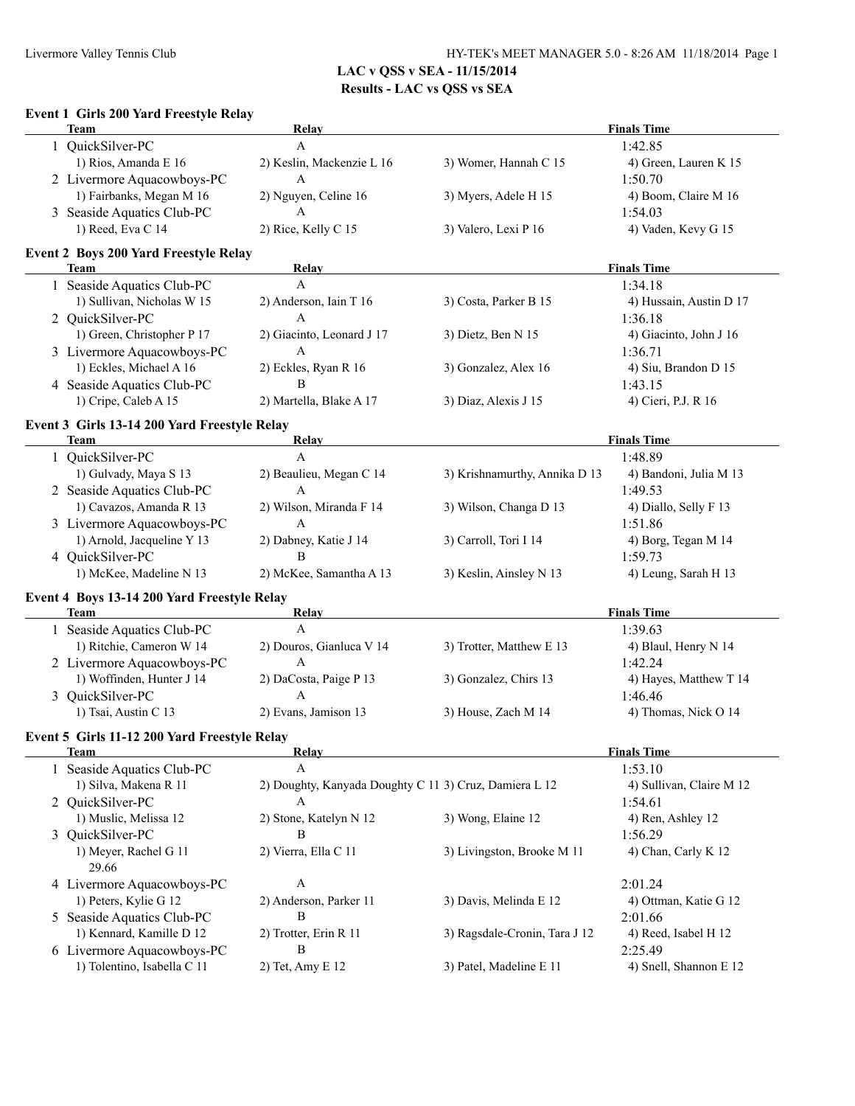| Event 1 Girls 200 Yard Freestyle Relay<br><b>Team</b>  | Relay                                                       |                               | <b>Finals Time</b>                  |
|--------------------------------------------------------|-------------------------------------------------------------|-------------------------------|-------------------------------------|
| 1 QuickSilver-PC                                       | $\mathbf{A}$                                                |                               | 1:42.85                             |
| 1) Rios, Amanda E 16                                   | 2) Keslin, Mackenzie L 16                                   | 3) Womer, Hannah C 15         | 4) Green, Lauren K 15               |
| 2 Livermore Aquacowboys-PC                             | A                                                           |                               | 1:50.70                             |
| 1) Fairbanks, Megan M 16                               | 2) Nguyen, Celine 16                                        | 3) Myers, Adele H 15          | 4) Boom, Claire M 16                |
| 3 Seaside Aquatics Club-PC                             | A                                                           |                               | 1:54.03                             |
| 1) Reed, Eva C 14                                      | 2) Rice, Kelly C 15                                         | 3) Valero, Lexi P 16          | 4) Vaden, Kevy G 15                 |
| <b>Event 2 Boys 200 Yard Freestyle Relay</b>           |                                                             |                               |                                     |
| <b>Team</b>                                            | Relay                                                       |                               | <b>Finals Time</b>                  |
| 1 Seaside Aquatics Club-PC                             | $\mathbf{A}$                                                |                               | 1:34.18                             |
| 1) Sullivan, Nicholas W 15                             | 2) Anderson, Iain T 16                                      | 3) Costa, Parker B 15         | 4) Hussain, Austin D 17             |
| 2 QuickSilver-PC                                       | A                                                           |                               | 1:36.18                             |
| 1) Green, Christopher P 17                             | 2) Giacinto, Leonard J 17                                   | 3) Dietz, Ben N 15            | 4) Giacinto, John J 16              |
| 3 Livermore Aquacowboys-PC                             | A                                                           |                               | 1:36.71                             |
| 1) Eckles, Michael A 16                                | 2) Eckles, Ryan R 16                                        | 3) Gonzalez, Alex 16          | 4) Siu, Brandon D 15                |
| 4 Seaside Aquatics Club-PC                             | B                                                           |                               | 1:43.15                             |
| 1) Cripe, Caleb A 15                                   | 2) Martella, Blake A 17                                     | 3) Diaz, Alexis J 15          | 4) Cieri, P.J. R 16                 |
| Event 3 Girls 13-14 200 Yard Freestyle Relay           |                                                             |                               |                                     |
| <b>Team</b>                                            | <b>Relay</b>                                                |                               | <b>Finals Time</b>                  |
| 1 QuickSilver-PC                                       | $\mathbf{A}$                                                |                               | 1:48.89                             |
| 1) Gulvady, Maya S 13                                  | 2) Beaulieu, Megan C 14                                     | 3) Krishnamurthy, Annika D 13 | 4) Bandoni, Julia M 13              |
| 2 Seaside Aquatics Club-PC                             | $\mathbf{A}$                                                |                               | 1:49.53                             |
| 1) Cavazos, Amanda R 13                                | 2) Wilson, Miranda F 14                                     | 3) Wilson, Changa D 13        | 4) Diallo, Selly F 13               |
| 3 Livermore Aquacowboys-PC                             | A                                                           |                               | 1:51.86                             |
| 1) Arnold, Jacqueline Y 13                             | 2) Dabney, Katie J 14                                       | 3) Carroll, Tori I 14         | 4) Borg, Tegan M 14                 |
| 4 QuickSilver-PC                                       | $\bf{B}$                                                    |                               | 1:59.73                             |
| 1) McKee, Madeline N 13                                | 2) McKee, Samantha A 13                                     | 3) Keslin, Ainsley N 13       | 4) Leung, Sarah H 13                |
| Event 4 Boys 13-14 200 Yard Freestyle Relay            |                                                             |                               |                                     |
| <b>Team</b>                                            | <b>Relay</b>                                                |                               | <b>Finals Time</b>                  |
| 1 Seaside Aquatics Club-PC                             | $\mathbf{A}$                                                |                               | 1:39.63                             |
| 1) Ritchie, Cameron W 14<br>2 Livermore Aquacowboys-PC | 2) Douros, Gianluca V 14<br>A                               | 3) Trotter, Matthew E 13      | 4) Blaul, Henry N 14<br>1:42.24     |
| 1) Woffinden, Hunter J 14                              | 2) DaCosta, Paige P 13                                      | 3) Gonzalez, Chirs 13         | 4) Hayes, Matthew T 14              |
| 3 QuickSilver-PC                                       | A                                                           |                               | 1:46.46                             |
| 1) Tsai, Austin C 13                                   | 2) Evans, Jamison 13                                        | 3) House, Zach M 14           | 4) Thomas, Nick O 14                |
| Event 5 Girls 11-12 200 Yard Freestyle Relay           |                                                             |                               |                                     |
| Team                                                   | <b>Relay</b>                                                |                               | <b>Finals Time</b>                  |
|                                                        |                                                             |                               | 1:53.10                             |
|                                                        | A                                                           |                               |                                     |
| 1 Seaside Aquatics Club-PC                             |                                                             |                               |                                     |
| 1) Silva, Makena R 11<br>2 QuickSilver-PC              | 2) Doughty, Kanyada Doughty C 11 3) Cruz, Damiera L 12<br>A |                               | 1:54.61                             |
|                                                        |                                                             |                               |                                     |
| 1) Muslic, Melissa 12                                  | 2) Stone, Katelyn N 12<br>B                                 | 3) Wong, Elaine 12            | 4) Ren, Ashley 12                   |
| 3 QuickSilver-PC                                       |                                                             |                               | 1:56.29                             |
| 1) Meyer, Rachel G 11<br>29.66                         | 2) Vierra, Ella C 11                                        | 3) Livingston, Brooke M 11    | 4) Chan, Carly K 12                 |
| 4 Livermore Aquacowboys-PC                             | $\boldsymbol{A}$                                            |                               | 2:01.24                             |
| 1) Peters, Kylie G 12                                  | 2) Anderson, Parker 11                                      | 3) Davis, Melinda E 12        | 4) Ottman, Katie G 12               |
|                                                        | B                                                           |                               | 2:01.66                             |
| 5 Seaside Aquatics Club-PC<br>1) Kennard, Kamille D 12 | 2) Trotter, Erin R 11                                       | 3) Ragsdale-Cronin, Tara J 12 | 4) Reed, Isabel H 12                |
| 6 Livermore Aquacowboys-PC                             | B                                                           |                               | 4) Sullivan, Claire M 12<br>2:25.49 |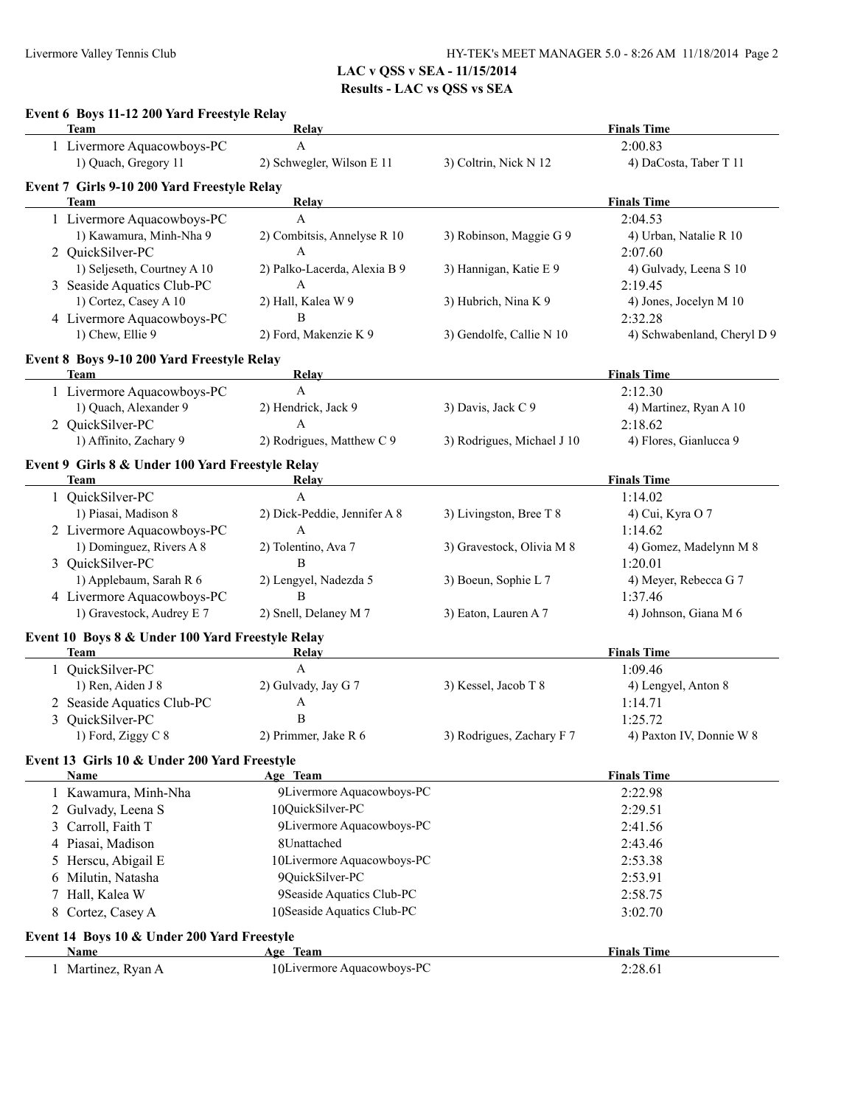|   | Event 6 Boys 11-12 200 Yard Freestyle Relay<br>Team        | Relay                                        |                            | <b>Finals Time</b>                     |
|---|------------------------------------------------------------|----------------------------------------------|----------------------------|----------------------------------------|
|   | 1 Livermore Aquacowboys-PC                                 | A                                            |                            | 2:00.83                                |
|   | 1) Quach, Gregory 11                                       | 2) Schwegler, Wilson E 11                    | 3) Coltrin, Nick N 12      | 4) DaCosta, Taber T 11                 |
|   | Event 7 Girls 9-10 200 Yard Freestyle Relay<br><b>Team</b> | Relay                                        |                            | <b>Finals Time</b>                     |
|   | 1 Livermore Aquacowboys-PC                                 | A                                            |                            | 2:04.53                                |
|   | 1) Kawamura, Minh-Nha 9                                    | 2) Combitsis, Annelyse R 10                  | 3) Robinson, Maggie G 9    | 4) Urban, Natalie R 10                 |
|   | 2 QuickSilver-PC                                           | A                                            |                            | 2:07.60                                |
|   | 1) Seljeseth, Courtney A 10                                |                                              |                            | 4) Gulvady, Leena S 10                 |
|   |                                                            | 2) Palko-Lacerda, Alexia B 9<br>$\mathsf{A}$ | 3) Hannigan, Katie E 9     |                                        |
|   | 3 Seaside Aquatics Club-PC<br>1) Cortez, Casey A 10        |                                              |                            | 2:19.45                                |
|   |                                                            | 2) Hall, Kalea W 9<br>B                      | 3) Hubrich, Nina K 9       | 4) Jones, Jocelyn M 10                 |
|   | 4 Livermore Aquacowboys-PC<br>1) Chew, Ellie 9             | 2) Ford, Makenzie K 9                        | 3) Gendolfe, Callie N 10   | 2:32.28<br>4) Schwabenland, Cheryl D 9 |
|   | Event 8 Boys 9-10 200 Yard Freestyle Relay                 |                                              |                            |                                        |
|   | <b>Team</b>                                                | Relay                                        |                            | <b>Finals Time</b>                     |
|   | 1 Livermore Aquacowboys-PC                                 | $\mathbf{A}$                                 |                            | 2:12.30                                |
|   | 1) Quach, Alexander 9                                      | 2) Hendrick, Jack 9                          | 3) Davis, Jack C 9         | 4) Martinez, Ryan A 10                 |
|   | 2 QuickSilver-PC                                           | A                                            |                            | 2:18.62                                |
|   | 1) Affinito, Zachary 9                                     | 2) Rodrigues, Matthew C 9                    | 3) Rodrigues, Michael J 10 | 4) Flores, Gianlucca 9                 |
|   | Event 9 Girls 8 & Under 100 Yard Freestyle Relay           |                                              |                            |                                        |
|   | Team                                                       | Relay                                        |                            | <b>Finals Time</b>                     |
|   | 1 QuickSilver-PC                                           | $\mathbf{A}$                                 |                            | 1:14.02                                |
|   | 1) Piasai, Madison 8                                       | 2) Dick-Peddie, Jennifer A 8                 | 3) Livingston, Bree T 8    | 4) Cui, Kyra O 7                       |
|   | 2 Livermore Aquacowboys-PC                                 | A                                            |                            | 1:14.62                                |
|   | 1) Dominguez, Rivers A 8                                   | 2) Tolentino, Ava 7                          | 3) Gravestock, Olivia M 8  | 4) Gomez, Madelynn M 8                 |
|   | 3 QuickSilver-PC                                           | B                                            |                            | 1:20.01                                |
|   | 1) Applebaum, Sarah R 6                                    | 2) Lengyel, Nadezda 5                        | 3) Boeun, Sophie L 7       | 4) Meyer, Rebecca G 7                  |
|   | 4 Livermore Aquacowboys-PC                                 | B                                            |                            | 1:37.46                                |
|   | 1) Gravestock, Audrey E 7                                  | 2) Snell, Delaney M 7                        | 3) Eaton, Lauren A 7       | 4) Johnson, Giana M 6                  |
|   | Event 10 Boys 8 & Under 100 Yard Freestyle Relay           |                                              |                            |                                        |
|   | Team                                                       | Relay                                        |                            | <b>Finals Time</b>                     |
|   | 1 QuickSilver-PC                                           | $\mathbf{A}$                                 |                            | 1:09.46                                |
|   | 1) Ren, Aiden J 8                                          | 2) Gulvady, Jay G 7                          | 3) Kessel, Jacob T 8       | 4) Lengyel, Anton 8                    |
|   | 2 Seaside Aquatics Club-PC                                 | A                                            |                            | 1:14.71                                |
| 3 | QuickSilver-PC                                             | $\, {\bf B}$                                 |                            | 1:25.72                                |
|   | 1) Ford, Ziggy C 8                                         | 2) Primmer, Jake R 6                         | 3) Rodrigues, Zachary F 7  | 4) Paxton IV, Donnie W 8               |
|   | Event 13 Girls 10 & Under 200 Yard Freestyle               |                                              |                            |                                        |
|   | <b>Name</b>                                                | Age Team                                     |                            | <b>Finals Time</b>                     |
|   | 1 Kawamura, Minh-Nha                                       | 9Livermore Aquacowboys-PC                    |                            | 2:22.98                                |
|   | 2 Gulvady, Leena S                                         | 10QuickSilver-PC                             |                            | 2:29.51                                |
|   | 3 Carroll, Faith T                                         | 9Livermore Aquacowboys-PC                    |                            | 2:41.56                                |
|   | 4 Piasai, Madison                                          | 8Unattached                                  |                            | 2:43.46                                |
|   | 5 Herscu, Abigail E                                        | 10Livermore Aquacowboys-PC                   |                            | 2:53.38                                |
|   | 6 Milutin, Natasha                                         | 9QuickSilver-PC                              |                            | 2:53.91                                |
|   |                                                            |                                              |                            | 2:58.75                                |
|   | 7 Hall, Kalea W                                            | 9Seaside Aquatics Club-PC                    |                            |                                        |
|   | 8 Cortez, Casey A                                          | 10Seaside Aquatics Club-PC                   |                            | 3:02.70                                |
|   | Event 14 Boys 10 & Under 200 Yard Freestyle                |                                              |                            |                                        |
|   | <b>Name</b><br>1 Martinez, Ryan A                          | Age Team<br>10Livermore Aquacowboys-PC       |                            | <b>Finals Time</b><br>2:28.61          |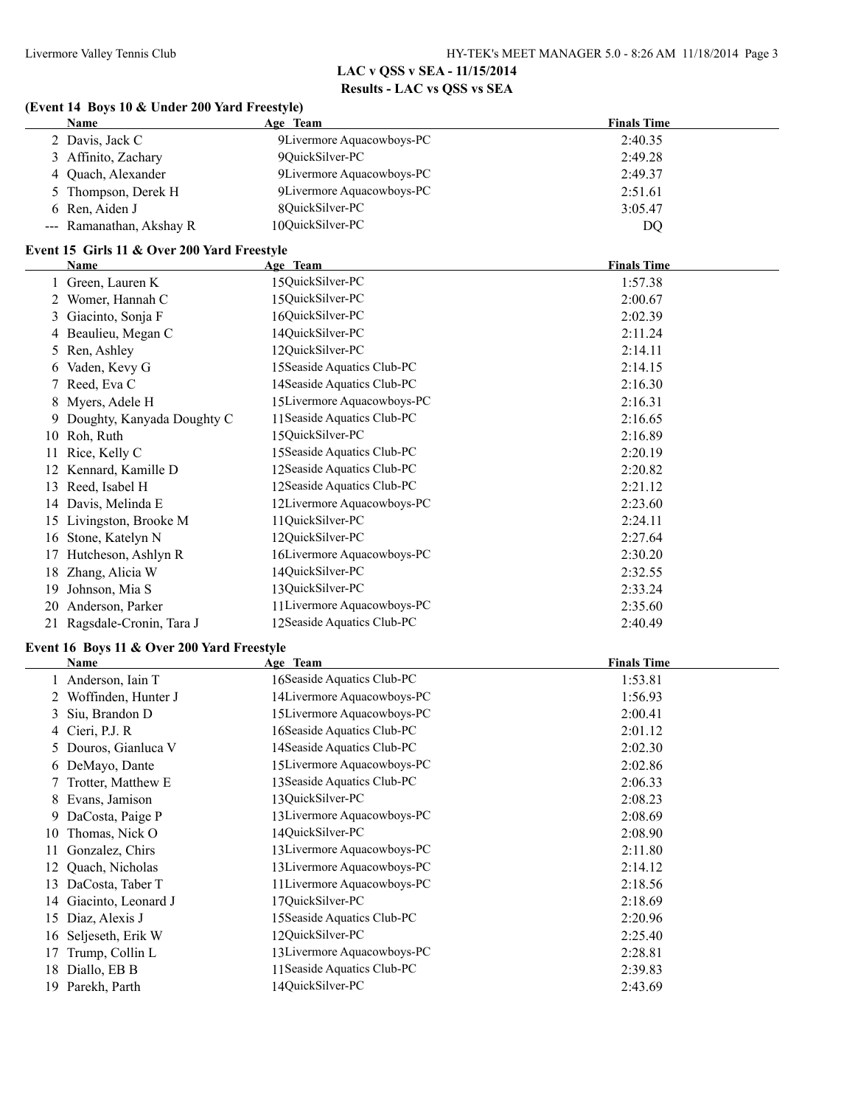#### **(Event 14 Boys 10 & Under 200 Yard Freestyle)**

| <b>Name</b>              | Age Team                  | <b>Finals Time</b> |
|--------------------------|---------------------------|--------------------|
| 2 Davis, Jack C          | 9Livermore Aquacowboys-PC | 2:40.35            |
| 3 Affinito, Zachary      | 9QuickSilver-PC           | 2:49.28            |
| 4 Quach, Alexander       | 9Livermore Aquacowboys-PC | 2:49.37            |
| 5 Thompson, Derek H      | 9Livermore Aquacowboys-PC | 2:51.61            |
| 6 Ren, Aiden J           | 80uickSilver-PC           | 3:05.47            |
| --- Ramanathan, Akshay R | 10OuickSilver-PC          | DO                 |

#### **Event 15 Girls 11 & Over 200 Yard Freestyle**

|    | Name                         | Age Team                    | <b>Finals Time</b> |
|----|------------------------------|-----------------------------|--------------------|
|    | Green, Lauren K              | 15QuickSilver-PC            | 1:57.38            |
|    | Womer, Hannah C              | 15QuickSilver-PC            | 2:00.67            |
| 3  | Giacinto, Sonja F            | 16QuickSilver-PC            | 2:02.39            |
|    | Beaulieu, Megan C            | 14QuickSilver-PC            | 2:11.24            |
| 5. | Ren, Ashley                  | 12QuickSilver-PC            | 2:14.11            |
| 6  | Vaden, Kevy G                | 15 Seaside Aquatics Club-PC | 2:14.15            |
|    | Reed, Eva C                  | 14 Seaside Aquatics Club-PC | 2:16.30            |
| 8  | Myers, Adele H               | 15Livermore Aquacowboys-PC  | 2:16.31            |
|    | 9 Doughty, Kanyada Doughty C | 11 Seaside Aquatics Club-PC | 2:16.65            |
|    | 10 Roh, Ruth                 | 15QuickSilver-PC            | 2:16.89            |
| 11 | Rice, Kelly C                | 15 Seaside Aquatics Club-PC | 2:20.19            |
| 12 | Kennard, Kamille D           | 12 Seaside Aquatics Club-PC | 2:20.82            |
| 13 | Reed, Isabel H               | 12 Seaside Aquatics Club-PC | 2:21.12            |
| 14 | Davis, Melinda E             | 12Livermore Aquacowboys-PC  | 2:23.60            |
| 15 | Livingston, Brooke M         | 11QuickSilver-PC            | 2:24.11            |
| 16 | Stone, Katelyn N             | 12QuickSilver-PC            | 2:27.64            |
| 17 | Hutcheson, Ashlyn R          | 16Livermore Aquacowboys-PC  | 2:30.20            |
| 18 | Zhang, Alicia W              | 14QuickSilver-PC            | 2:32.55            |
| 19 | Johnson, Mia S               | 13QuickSilver-PC            | 2:33.24            |
| 20 | Anderson, Parker             | 11 Livermore Aquacowboys-PC | 2:35.60            |
| 21 | Ragsdale-Cronin, Tara J      | 12Seaside Aquatics Club-PC  | 2:40.49            |

#### **Event 16 Boys 11 & Over 200 Yard Freestyle**

|    | Name                 | Age Team                    | <b>Finals Time</b> |
|----|----------------------|-----------------------------|--------------------|
|    | 1 Anderson, Iain T   | 16 Seaside Aquatics Club-PC | 1:53.81            |
| 2  | Woffinden, Hunter J  | 14Livermore Aquacowboys-PC  | 1:56.93            |
|    | 3 Siu, Brandon D     | 15Livermore Aquacowboys-PC  | 2:00.41            |
|    | 4 Cieri, P.J. R.     | 16 Seaside Aquatics Club-PC | 2:01.12            |
|    | 5 Douros, Gianluca V | 14 Seaside Aquatics Club-PC | 2:02.30            |
|    | 6 DeMayo, Dante      | 15Livermore Aquacowboys-PC  | 2:02.86            |
|    | 7 Trotter, Matthew E | 13 Seaside Aquatics Club-PC | 2:06.33            |
|    | 8 Evans, Jamison     | 13QuickSilver-PC            | 2:08.23            |
|    | 9 DaCosta, Paige P   | 13 Livermore Aquacowboys-PC | 2:08.69            |
| 10 | Thomas, Nick O       | 14QuickSilver-PC            | 2:08.90            |
| 11 | Gonzalez, Chirs      | 13 Livermore Aquacowboys-PC | 2:11.80            |
| 12 | Quach, Nicholas      | 13 Livermore Aquacowboys-PC | 2:14.12            |
| 13 | DaCosta, Taber T     | 11 Livermore Aquacowboys-PC | 2:18.56            |
| 14 | Giacinto, Leonard J  | 17QuickSilver-PC            | 2:18.69            |
| 15 | Diaz, Alexis J       | 15 Seaside Aquatics Club-PC | 2:20.96            |
| 16 | Seljeseth, Erik W    | 12QuickSilver-PC            | 2:25.40            |
| 17 | Trump, Collin L      | 13Livermore Aquacowboys-PC  | 2:28.81            |
| 18 | Diallo, EB B         | 11 Seaside Aquatics Club-PC | 2:39.83            |
| 19 | Parekh, Parth        | 14QuickSilver-PC            | 2:43.69            |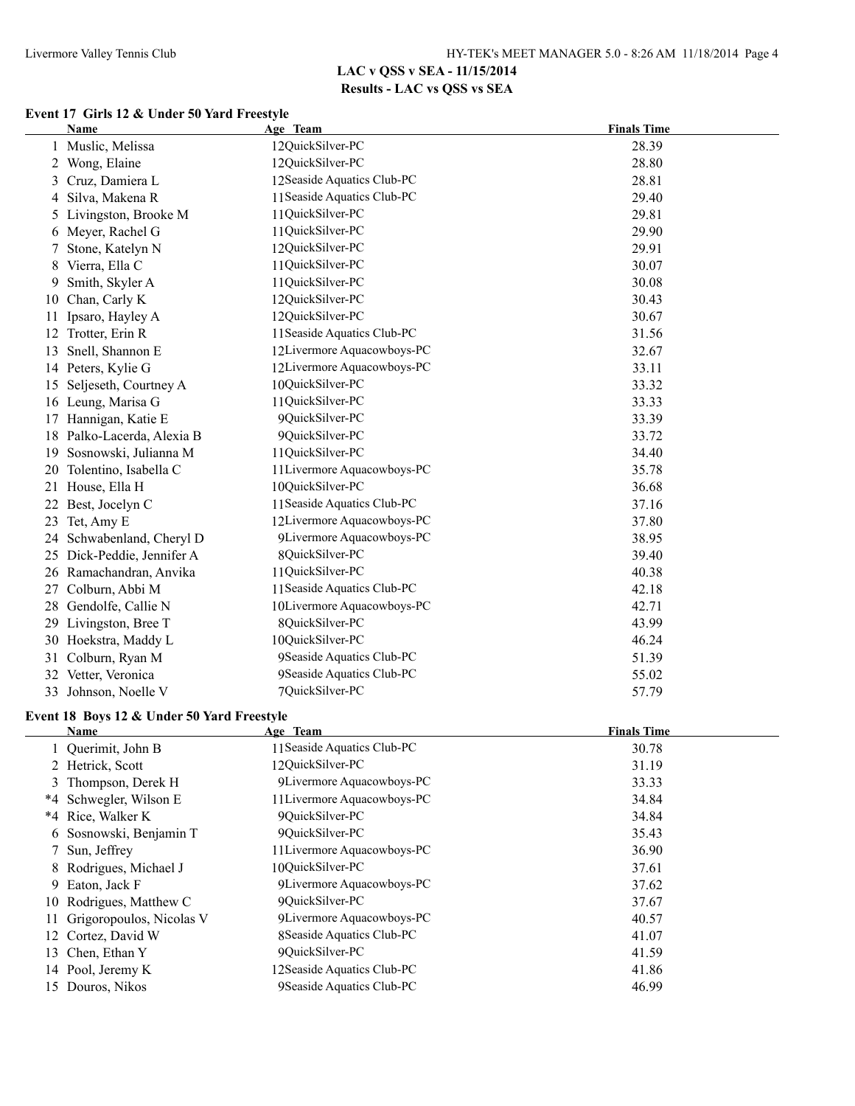### **Event 17 Girls 12 & Under 50 Yard Freestyle**

|    | <b>Name</b>                                | Age Team                    | <b>Finals Time</b> |
|----|--------------------------------------------|-----------------------------|--------------------|
|    | Muslic, Melissa                            | 12QuickSilver-PC            | 28.39              |
| 2  | Wong, Elaine                               | 12QuickSilver-PC            | 28.80              |
| 3  | Cruz, Damiera L                            | 12Seaside Aquatics Club-PC  | 28.81              |
| 4  | Silva, Makena R                            | 11 Seaside Aquatics Club-PC | 29.40              |
| 5  | Livingston, Brooke M                       | 11QuickSilver-PC            | 29.81              |
| 6  | Meyer, Rachel G                            | 11QuickSilver-PC            | 29.90              |
|    | Stone, Katelyn N                           | 12QuickSilver-PC            | 29.91              |
| 8  | Vierra, Ella C                             | 11QuickSilver-PC            | 30.07              |
| 9  | Smith, Skyler A                            | 11QuickSilver-PC            | 30.08              |
| 10 | Chan, Carly K                              | 12QuickSilver-PC            | 30.43              |
| 11 | Ipsaro, Hayley A                           | 12QuickSilver-PC            | 30.67              |
| 12 | Trotter, Erin R                            | 11 Seaside Aquatics Club-PC | 31.56              |
| 13 | Snell, Shannon E                           | 12Livermore Aquacowboys-PC  | 32.67              |
|    | 14 Peters, Kylie G                         | 12Livermore Aquacowboys-PC  | 33.11              |
| 15 | Seljeseth, Courtney A                      | 10QuickSilver-PC            | 33.32              |
|    | 16 Leung, Marisa G                         | 11QuickSilver-PC            | 33.33              |
|    | 17 Hannigan, Katie E                       | 9QuickSilver-PC             | 33.39              |
|    | 18 Palko-Lacerda, Alexia B                 | 9QuickSilver-PC             | 33.72              |
| 19 | Sosnowski, Julianna M                      | 11QuickSilver-PC            | 34.40              |
| 20 | Tolentino, Isabella C                      | 11 Livermore Aquacowboys-PC | 35.78              |
| 21 | House, Ella H                              | 10QuickSilver-PC            | 36.68              |
| 22 | Best, Jocelyn C                            | 11 Seaside Aquatics Club-PC | 37.16              |
| 23 | Tet, Amy E                                 | 12Livermore Aquacowboys-PC  | 37.80              |
| 24 | Schwabenland, Cheryl D                     | 9Livermore Aquacowboys-PC   | 38.95              |
| 25 | Dick-Peddie, Jennifer A                    | 8QuickSilver-PC             | 39.40              |
|    | 26 Ramachandran, Anvika                    | 11QuickSilver-PC            | 40.38              |
|    | 27 Colburn, Abbi M                         | 11 Seaside Aquatics Club-PC | 42.18              |
|    | 28 Gendolfe, Callie N                      | 10Livermore Aquacowboys-PC  | 42.71              |
|    | 29 Livingston, Bree T                      | 8QuickSilver-PC             | 43.99              |
|    | 30 Hoekstra, Maddy L                       | 10QuickSilver-PC            | 46.24              |
|    | 31 Colburn, Ryan M                         | 9Seaside Aquatics Club-PC   | 51.39              |
|    | 32 Vetter, Veronica                        | 9Seaside Aquatics Club-PC   | 55.02              |
| 33 | Johnson, Noelle V                          | 7QuickSilver-PC             | 57.79              |
|    | Event 18 Boys 12 & Under 50 Yard Freestyle |                             |                    |
|    | Name                                       | Age Team                    | <b>Finals Time</b> |
|    | 1 Querimit, John B                         | 11 Seaside Aquatics Club-PC | 30.78              |
|    | 2 Hetrick, Scott                           | 12QuickSilver-PC            | 31.19              |
|    | 3 Thompson, Derek H                        | 9Livermore Aquacowboys-PC   | 33.33              |
|    | *4 Schwegler, Wilson E                     | 11 Livermore Aquacowboys-PC | 34.84              |
|    | *4 Rice, Walker K                          | 9QuickSilver-PC             | 34.84              |
| 6  | Sosnowski, Benjamin T                      | 9QuickSilver-PC             | 35.43              |
| 7  | Sun, Jeffrey                               | 11 Livermore Aquacowboys-PC | 36.90              |
| 8  | Rodrigues, Michael J                       | 10QuickSilver-PC            | 37.61              |
| 9  | Eaton, Jack F                              | 9Livermore Aquacowboys-PC   | 37.62              |
| 10 | Rodrigues, Matthew C                       | 9QuickSilver-PC             | 37.67              |
| 11 | Grigoropoulos, Nicolas V                   | 9Livermore Aquacowboys-PC   | 40.57              |
| 12 | Cortez, David W                            | 8Seaside Aquatics Club-PC   | 41.07              |
| 13 | Chen, Ethan Y                              | 9QuickSilver-PC             | 41.59              |
|    | 14 Pool, Jeremy K                          | 12Seaside Aquatics Club-PC  | 41.86              |
|    | 15 Douros, Nikos                           | 9Seaside Aquatics Club-PC   | 46.99              |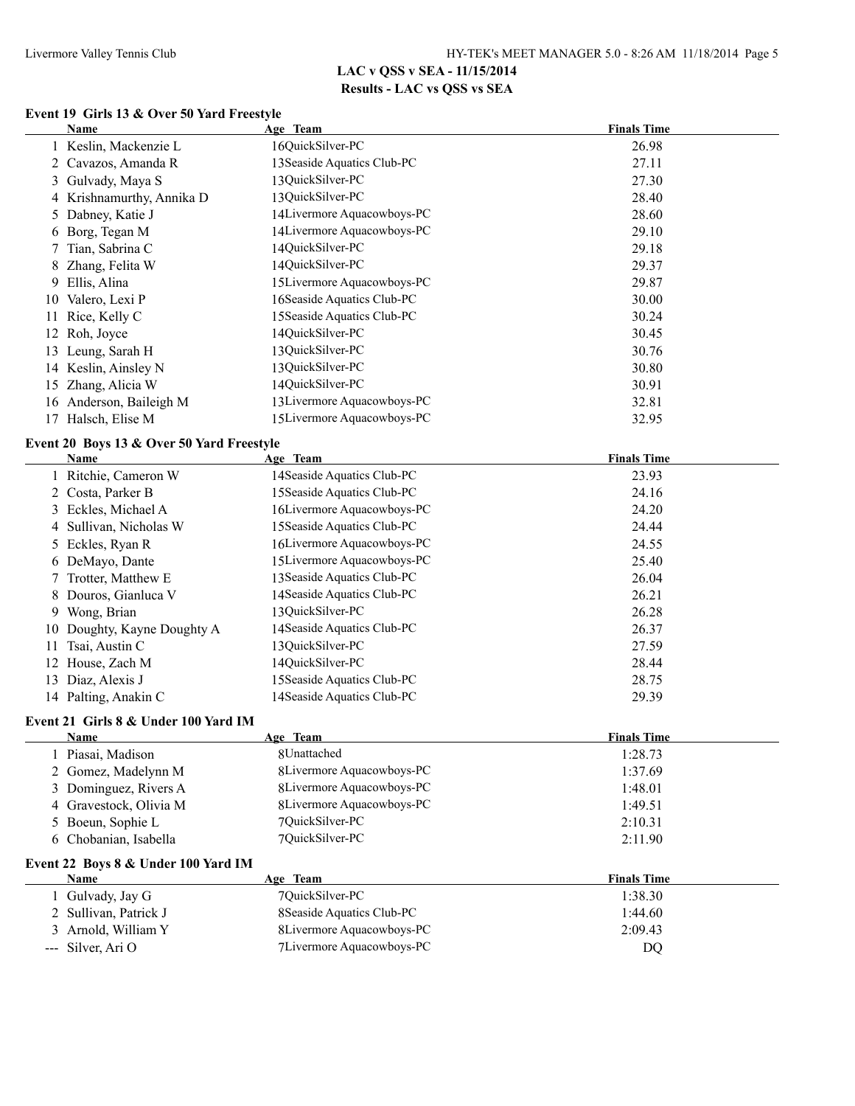### **Event 19 Girls 13 & Over 50 Yard Freestyle**

|    | <b>Name</b>                               | Age Team                    | <b>Finals Time</b> |
|----|-------------------------------------------|-----------------------------|--------------------|
|    | 1 Keslin, Mackenzie L                     | 16QuickSilver-PC            | 26.98              |
| 2  | Cavazos, Amanda R                         | 13 Seaside Aquatics Club-PC | 27.11              |
| 3  | Gulvady, Maya S                           | 13QuickSilver-PC            | 27.30              |
|    | 4 Krishnamurthy, Annika D                 | 13QuickSilver-PC            | 28.40              |
| 5  | Dabney, Katie J                           | 14Livermore Aquacowboys-PC  | 28.60              |
| 6  | Borg, Tegan M                             | 14Livermore Aquacowboys-PC  | 29.10              |
| 7  | Tian, Sabrina C                           | 14QuickSilver-PC            | 29.18              |
| 8  | Zhang, Felita W                           | 14QuickSilver-PC            | 29.37              |
| 9  | Ellis, Alina                              | 15Livermore Aquacowboys-PC  | 29.87              |
| 10 | Valero, Lexi P                            | 16Seaside Aquatics Club-PC  | 30.00              |
| 11 | Rice, Kelly C                             | 15 Seaside Aquatics Club-PC | 30.24              |
| 12 | Roh, Joyce                                | 14QuickSilver-PC            | 30.45              |
| 13 | Leung, Sarah H                            | 13QuickSilver-PC            | 30.76              |
| 14 | Keslin, Ainsley N                         | 13QuickSilver-PC            | 30.80              |
| 15 | Zhang, Alicia W                           | 14QuickSilver-PC            | 30.91              |
| 16 | Anderson, Baileigh M                      | 13Livermore Aquacowboys-PC  | 32.81              |
|    | 17 Halsch, Elise M                        | 15Livermore Aquacowboys-PC  | 32.95              |
|    | Event 20 Boys 13 & Over 50 Yard Freestyle |                             |                    |
|    | Name                                      | Age Team                    | <b>Finals Time</b> |
|    | 1 Ritchie, Cameron W                      | 14 Seaside Aquatics Club-PC | 23.93              |
| 2  | Costa, Parker B                           | 15 Seaside Aquatics Club-PC | 24.16              |
|    | 3 Eckles, Michael A                       | 16Livermore Aquacowboys-PC  | 24.20              |
| 4  | Sullivan, Nicholas W                      | 15 Seaside Aquatics Club-PC | 24.44              |
| 5  | Eckles, Ryan R                            | 16Livermore Aquacowboys-PC  | 24.55              |
| 6  | DeMayo, Dante                             | 15Livermore Aquacowboys-PC  | 25.40              |
| 7  | Trotter, Matthew E                        | 13 Seaside Aquatics Club-PC | 26.04              |
| 8  | Douros, Gianluca V                        | 14 Seaside Aquatics Club-PC | 26.21              |
| 9  | Wong, Brian                               | 13QuickSilver-PC            | 26.28              |
| 10 | Doughty, Kayne Doughty A                  | 14 Seaside Aquatics Club-PC | 26.37              |
| 11 | Tsai, Austin C                            | 13QuickSilver-PC            | 27.59              |
| 12 | House, Zach M                             | 14QuickSilver-PC            | 28.44              |
| 13 | Diaz, Alexis J                            | 15 Seaside Aquatics Club-PC | 28.75              |
|    | 14 Palting, Anakin C                      | 14 Seaside Aquatics Club-PC | 29.39              |

#### **Event 21 Girls 8 & Under 100 Yard IM**

| Name                   | Age Team                  | <b>Finals Time</b> |
|------------------------|---------------------------|--------------------|
| Piasai, Madison        | 8Unattached               | 1:28.73            |
| 2 Gomez, Madelynn M    | 8Livermore Aquacowboys-PC | 1:37.69            |
| 3 Dominguez, Rivers A  | 8Livermore Aquacowboys-PC | 1:48.01            |
| 4 Gravestock, Olivia M | 8Livermore Aquacowboys-PC | 1:49.51            |
| 5 Boeun, Sophie L      | 7QuickSilver-PC           | 2:10.31            |
| 6 Chobanian, Isabella  | 70uickSilver-PC           | 2:11.90            |

#### **Event 22 Boys 8 & Under 100 Yard IM**

| Name                  | Age Team                   | <b>Finals Time</b> |
|-----------------------|----------------------------|--------------------|
| Gulvady, Jay G        | 70uickSilver-PC            | 1:38.30            |
| 2 Sullivan, Patrick J | 8 Seaside Aquatics Club-PC | 1:44.60            |
| 3 Arnold, William Y   | 8Livermore Aquacowboys-PC  | 2:09.43            |
| $-$ - Silver, Ari O   | 7 Livermore Aquacowboys-PC | DO                 |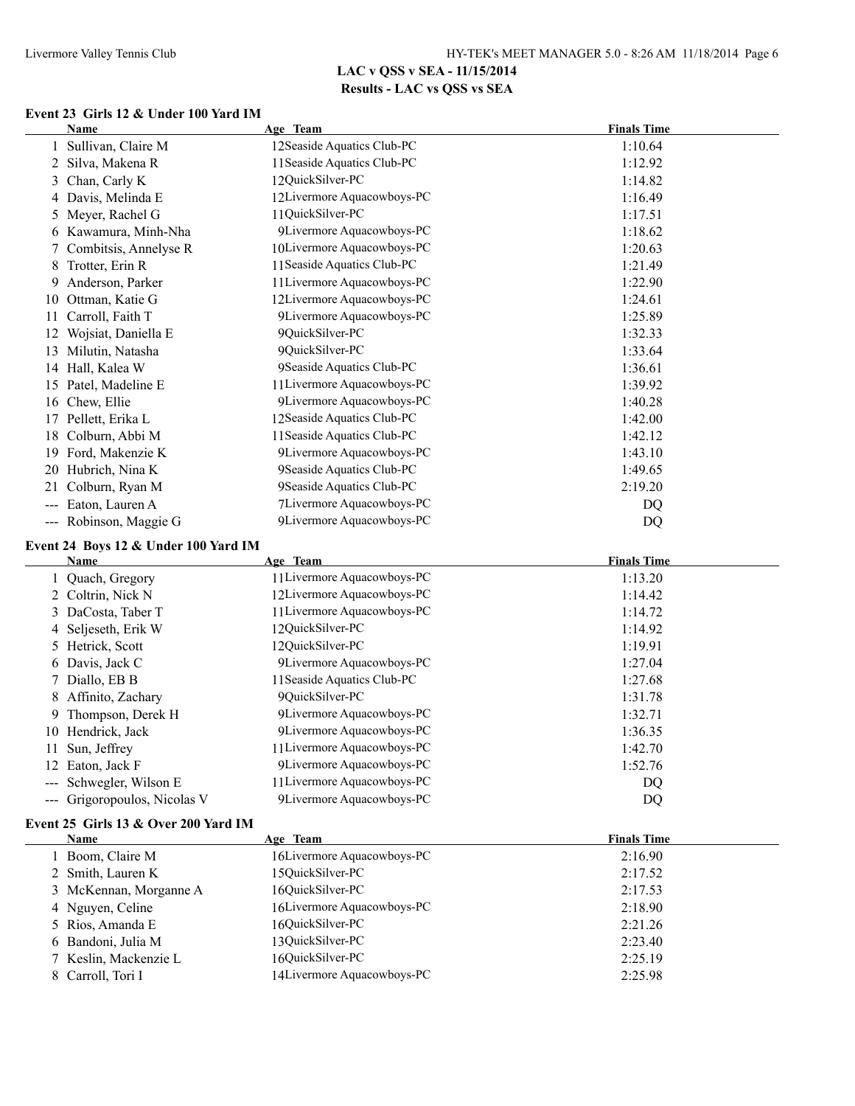# **Event 23 Girls 12 & Under 100 Yard IM**

|                     | <b>Name</b>                          | Age Team                    | <b>Finals Time</b> |
|---------------------|--------------------------------------|-----------------------------|--------------------|
|                     | Sullivan, Claire M                   | 12Seaside Aquatics Club-PC  | 1:10.64            |
| 2                   | Silva, Makena R                      | 11 Seaside Aquatics Club-PC | 1:12.92            |
| 3                   | Chan, Carly K                        | 12QuickSilver-PC            | 1:14.82            |
| 4                   | Davis, Melinda E                     | 12Livermore Aquacowboys-PC  | 1:16.49            |
| 5                   | Meyer, Rachel G                      | 11QuickSilver-PC            | 1:17.51            |
| 6                   | Kawamura, Minh-Nha                   | 9Livermore Aquacowboys-PC   | 1:18.62            |
|                     | Combitsis, Annelyse R                | 10Livermore Aquacowboys-PC  | 1:20.63            |
| 8                   | Trotter, Erin R                      | 11 Seaside Aquatics Club-PC | 1:21.49            |
| 9                   | Anderson, Parker                     | 11 Livermore Aquacowboys-PC | 1:22.90            |
| 10                  | Ottman, Katie G                      | 12Livermore Aquacowboys-PC  | 1:24.61            |
| 11                  | Carroll, Faith T                     | 9Livermore Aquacowboys-PC   | 1:25.89            |
| 12                  | Wojsiat, Daniella E                  | 9QuickSilver-PC             | 1:32.33            |
| 13                  | Milutin, Natasha                     | 9OuickSilver-PC             | 1:33.64            |
| 14                  | Hall, Kalea W                        | 9Seaside Aquatics Club-PC   | 1:36.61            |
| 15                  | Patel, Madeline E                    | 11 Livermore Aquacowboys-PC | 1:39.92            |
| 16                  | Chew, Ellie                          | 9Livermore Aquacowboys-PC   | 1:40.28            |
| 17                  | Pellett, Erika L                     | 12Seaside Aquatics Club-PC  | 1:42.00            |
| 18                  | Colburn, Abbi M                      | 11 Seaside Aquatics Club-PC | 1:42.12            |
| 19                  | Ford, Makenzie K                     | 9Livermore Aquacowboys-PC   | 1:43.10            |
| 20                  | Hubrich, Nina K                      | 9Seaside Aquatics Club-PC   | 1:49.65            |
| 21                  | Colburn, Ryan M                      | 9Seaside Aquatics Club-PC   | 2:19.20            |
|                     | Eaton, Lauren A                      | 7Livermore Aquacowboys-PC   | DQ                 |
| $\qquad \qquad - -$ | Robinson, Maggie G                   | 9Livermore Aquacowboys-PC   | DQ                 |
|                     | Event 24 Boys 12 & Under 100 Yard IM |                             |                    |
|                     | <b>Name</b>                          | Age Team                    | <b>Finals Time</b> |

| Name                         | Age Team                    | <b>Finals Time</b> |  |
|------------------------------|-----------------------------|--------------------|--|
| 1 Quach, Gregory             | 11 Livermore Aquacowboys-PC | 1:13.20            |  |
| 2 Coltrin, Nick N            | 12Livermore Aquacowboys-PC  | 1:14.42            |  |
| 3 DaCosta, Taber T           | 11 Livermore Aquacowboys-PC | 1:14.72            |  |
| 4 Seljeseth, Erik W          | 12OuickSilver-PC            | 1:14.92            |  |
| 5 Hetrick, Scott             | 12OuickSilver-PC            | 1:19.91            |  |
| Davis, Jack C<br>6           | 9Livermore Aquacowboys-PC   | 1:27.04            |  |
| 7 Diallo, EB B               | 11 Seaside Aquatics Club-PC | 1:27.68            |  |
| Affinito, Zachary<br>8.      | 90uickSilver-PC             | 1:31.78            |  |
| Thompson, Derek H<br>9.      | 9Livermore Aquacowboys-PC   | 1:32.71            |  |
| Hendrick, Jack<br>10-        | 9Livermore Aquacowboys-PC   | 1:36.35            |  |
| Sun, Jeffrey<br>11.          | 11 Livermore Aquacowboys-PC | 1:42.70            |  |
| 12 Eaton, Jack F             | 9Livermore Aquacowboys-PC   | 1:52.76            |  |
| --- Schwegler, Wilson E      | 11 Livermore Aquacowboys-PC | DQ                 |  |
| --- Grigoropoulos, Nicolas V | 9Livermore Aquacowboys-PC   | DQ                 |  |

### **Event 25 Girls 13 & Over 200 Yard IM**

| <b>Name</b>            | Age Team                   | <b>Finals Time</b> |
|------------------------|----------------------------|--------------------|
| 1 Boom, Claire M       | 16Livermore Aquacowboys-PC | 2:16.90            |
| 2 Smith, Lauren K      | 15QuickSilver-PC           | 2:17.52            |
| 3 McKennan, Morganne A | 16OuickSilver-PC           | 2:17.53            |
| 4 Nguyen, Celine       | 16Livermore Aquacowboys-PC | 2:18.90            |
| 5 Rios, Amanda E       | 16QuickSilver-PC           | 2:21.26            |
| 6 Bandoni, Julia M     | 13OuickSilver-PC           | 2:23.40            |
| 7 Keslin, Mackenzie L  | 16OuickSilver-PC           | 2:25.19            |
| 8 Carroll, Tori I      | 14Livermore Aquacowboys-PC | 2:25.98            |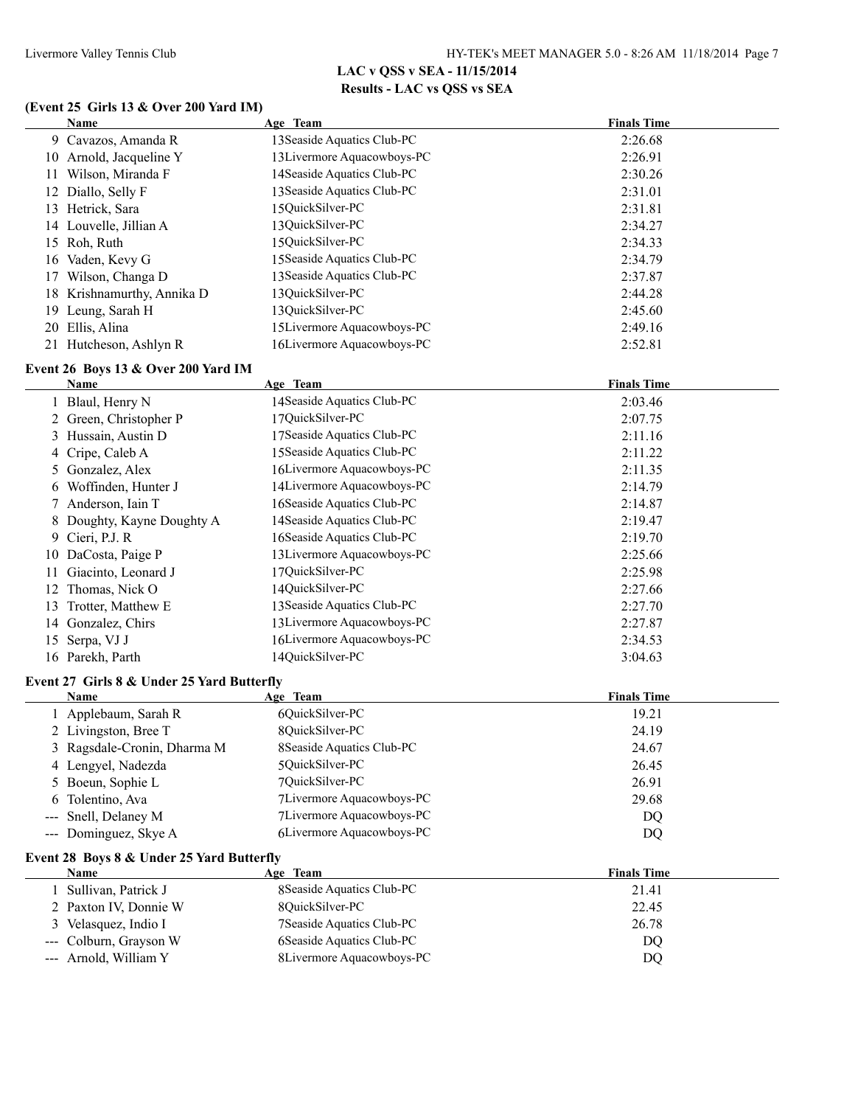#### **(Event 25 Girls 13 & Over 200 Yard IM)**

| Name                       | Age Team                    | <b>Finals Time</b> |
|----------------------------|-----------------------------|--------------------|
| 9 Cavazos, Amanda R        | 13 Seaside Aquatics Club-PC | 2:26.68            |
| 10 Arnold, Jacqueline Y    | 13 Livermore Aquacowboys-PC | 2:26.91            |
| Wilson, Miranda F<br>11    | 14 Seaside Aquatics Club-PC | 2:30.26            |
| 12 Diallo, Selly F         | 13 Seaside Aquatics Club-PC | 2:31.01            |
| Hetrick, Sara<br>13        | 150uickSilver-PC            | 2:31.81            |
| 14 Louvelle, Jillian A     | 13QuickSilver-PC            | 2:34.27            |
| 15 Roh, Ruth               | 150uickSilver-PC            | 2:34.33            |
| 16 Vaden, Kevy G           | 15 Seaside Aquatics Club-PC | 2:34.79            |
| Wilson, Changa D           | 13 Seaside Aquatics Club-PC | 2:37.87            |
| 18 Krishnamurthy, Annika D | 13 OuickSilver-PC           | 2:44.28            |
| 19 Leung, Sarah H          | 13OuickSilver-PC            | 2:45.60            |
| 20 Ellis, Alina            | 15Livermore Aquacowboys-PC  | 2:49.16            |
| 21 Hutcheson, Ashlyn R     | 16Livermore Aquacowboys-PC  | 2:52.81            |
|                            |                             |                    |

#### **Event 26 Boys 13 & Over 200 Yard IM**  $\overline{a}$

|    | Name                       | Age Team                    | <b>Finals Time</b> |  |
|----|----------------------------|-----------------------------|--------------------|--|
|    | 1 Blaul, Henry N           | 14 Seaside Aquatics Club-PC | 2:03.46            |  |
|    | 2 Green, Christopher P     | 17QuickSilver-PC            | 2:07.75            |  |
|    | 3 Hussain, Austin D        | 17 Seaside Aquatics Club-PC | 2:11.16            |  |
|    | 4 Cripe, Caleb A           | 15 Seaside Aquatics Club-PC | 2:11.22            |  |
|    | 5 Gonzalez, Alex           | 16Livermore Aquacowboys-PC  | 2:11.35            |  |
|    | Woffinden, Hunter J        | 14 Livermore Aquacowboys-PC | 2:14.79            |  |
|    | 7 Anderson, Iain T         | 16 Seaside Aquatics Club-PC | 2:14.87            |  |
|    | 8 Doughty, Kayne Doughty A | 14 Seaside Aquatics Club-PC | 2:19.47            |  |
| 9. | Cieri, P.J. R              | 16 Seaside Aquatics Club-PC | 2:19.70            |  |
|    | 10 DaCosta, Paige P        | 13 Livermore Aquacowboys-PC | 2:25.66            |  |
|    | Giacinto, Leonard J        | 17QuickSilver-PC            | 2:25.98            |  |
|    | 12 Thomas, Nick O          | 14OuickSilver-PC            | 2:27.66            |  |
| 13 | Trotter, Matthew E         | 13 Seaside Aquatics Club-PC | 2:27.70            |  |
| 14 | Gonzalez, Chirs            | 13Livermore Aquacowboys-PC  | 2:27.87            |  |
| 15 | Serpa, VJ J                | 16Livermore Aquacowboys-PC  | 2:34.53            |  |
|    | 16 Parekh, Parth           | 14OuickSilver-PC            | 3:04.63            |  |

#### **Event 27 Girls 8 & Under 25 Yard Butterfly**

| <b>Name</b>                 | Age Team                   | <b>Finals Time</b> |
|-----------------------------|----------------------------|--------------------|
| 1 Applebaum, Sarah R        | 6QuickSilver-PC            | 19.21              |
| 2 Livingston, Bree T        | 8OuickSilver-PC            | 24.19              |
| 3 Ragsdale-Cronin, Dharma M | 8 Seaside Aquatics Club-PC | 24.67              |
| 4 Lengyel, Nadezda          | 50uickSilver-PC            | 26.45              |
| 5 Boeun, Sophie L           | 7QuickSilver-PC            | 26.91              |
| 6 Tolentino, Ava            | 7Livermore Aquacowboys-PC  | 29.68              |
| --- Snell, Delaney M        | 7Livermore Aquacowboys-PC  | DQ                 |
| --- Dominguez, Skye A       | 6Livermore Aquacowboys-PC  | DQ                 |
|                             |                            |                    |

#### **Event 28 Boys 8 & Under 25 Yard Butterfly**

| <b>Name</b>            | Age Team                   | <b>Finals Time</b> |
|------------------------|----------------------------|--------------------|
| Sullivan, Patrick J    | 8 Seaside Aquatics Club-PC | 21.41              |
| 2 Paxton IV, Donnie W  | 80uickSilver-PC            | 22.45              |
| 3 Velasquez, Indio I   | 7 Seaside Aquatics Club-PC | 26.78              |
| --- Colburn, Grayson W | 6 Seaside Aquatics Club-PC | DQ                 |
| --- Arnold, William Y  | 8Livermore Aquacowboys-PC  | DQ                 |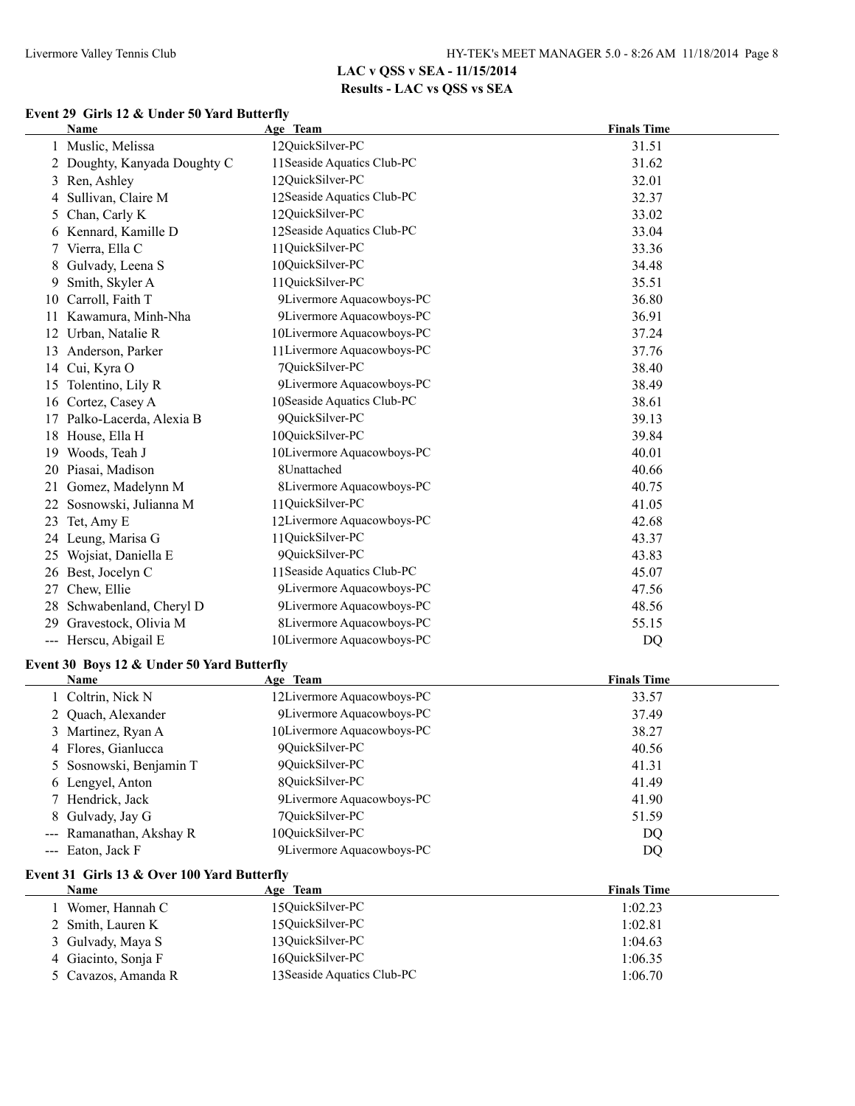#### **Event 29 Girls 12 & Under 50 Yard Butterfly**

|    | <b>Name</b>                                 | Age Team                    | <b>Finals Time</b> |
|----|---------------------------------------------|-----------------------------|--------------------|
|    | 1 Muslic, Melissa                           | 12QuickSilver-PC            | 31.51              |
|    | 2 Doughty, Kanyada Doughty C                | 11 Seaside Aquatics Club-PC | 31.62              |
|    | 3 Ren, Ashley                               | 12QuickSilver-PC            | 32.01              |
| 4  | Sullivan, Claire M                          | 12Seaside Aquatics Club-PC  | 32.37              |
| 5  | Chan, Carly K                               | 12QuickSilver-PC            | 33.02              |
|    | 6 Kennard, Kamille D                        | 12Seaside Aquatics Club-PC  | 33.04              |
|    | 7 Vierra, Ella C                            | 11QuickSilver-PC            | 33.36              |
| 8  | Gulvady, Leena S                            | 10QuickSilver-PC            | 34.48              |
| 9  | Smith, Skyler A                             | 11QuickSilver-PC            | 35.51              |
| 10 | Carroll, Faith T                            | 9Livermore Aquacowboys-PC   | 36.80              |
|    | 11 Kawamura, Minh-Nha                       | 9Livermore Aquacowboys-PC   | 36.91              |
| 12 | Urban, Natalie R                            | 10Livermore Aquacowboys-PC  | 37.24              |
|    | 13 Anderson, Parker                         | 11 Livermore Aquacowboys-PC | 37.76              |
|    | 14 Cui, Kyra O                              | 7QuickSilver-PC             | 38.40              |
|    | 15 Tolentino, Lily R                        | 9Livermore Aquacowboys-PC   | 38.49              |
|    | 16 Cortez, Casey A                          | 10Seaside Aquatics Club-PC  | 38.61              |
|    | 17 Palko-Lacerda, Alexia B                  | 9QuickSilver-PC             | 39.13              |
|    | 18 House, Ella H                            | 10QuickSilver-PC            | 39.84              |
| 19 | Woods, Teah J                               | 10Livermore Aquacowboys-PC  | 40.01              |
|    | 20 Piasai, Madison                          | 8Unattached                 | 40.66              |
| 21 | Gomez, Madelynn M                           | 8Livermore Aquacowboys-PC   | 40.75              |
|    | 22 Sosnowski, Julianna M                    | 11QuickSilver-PC            | 41.05              |
|    | 23 Tet, Amy E                               | 12Livermore Aquacowboys-PC  | 42.68              |
|    | 24 Leung, Marisa G                          | 11QuickSilver-PC            | 43.37              |
|    | 25 Wojsiat, Daniella E                      | 9QuickSilver-PC             | 43.83              |
|    | 26 Best, Jocelyn C                          | 11 Seaside Aquatics Club-PC | 45.07              |
| 27 | Chew, Ellie                                 | 9Livermore Aquacowboys-PC   | 47.56              |
|    | 28 Schwabenland, Cheryl D                   | 9Livermore Aquacowboys-PC   | 48.56              |
|    | 29 Gravestock, Olivia M                     | 8Livermore Aquacowboys-PC   | 55.15              |
|    | --- Herscu, Abigail E                       | 10Livermore Aquacowboys-PC  | DQ                 |
|    |                                             |                             |                    |
|    | Event 30 Boys 12 & Under 50 Yard Butterfly  |                             |                    |
|    | <b>Name</b>                                 | Age Team                    | <b>Finals Time</b> |
|    | 1 Coltrin, Nick N                           | 12Livermore Aquacowboys-PC  | 33.57              |
|    | 2 Quach, Alexander                          | 9Livermore Aquacowboys-PC   | 37.49              |
|    | 3 Martinez, Ryan A                          | 10Livermore Aquacowboys-PC  | 38.27              |
|    | 4 Flores, Gianlucca                         | 9QuickSilver-PC             | 40.56              |
|    | 5 Sosnowski, Benjamin T                     | 9QuickSilver-PC             | 41.31              |
|    | 6 Lengyel, Anton                            | 8QuickSilver-PC             | 41.49              |
|    | 7 Hendrick, Jack                            | 9Livermore Aquacowboys-PC   | 41.90              |
|    | 8 Gulvady, Jay G                            | 7QuickSilver-PC             | 51.59              |
|    | --- Ramanathan, Akshay R                    | 10QuickSilver-PC            | DQ                 |
|    | --- Eaton, Jack F                           | 9Livermore Aquacowboys-PC   | DQ                 |
|    | Event 31 Girls 13 & Over 100 Yard Butterfly |                             |                    |
|    | Name                                        | Age Team                    | <b>Finals Time</b> |
|    | 1 Womer, Hannah C                           | 15QuickSilver-PC            | 1:02.23            |
|    | 2 Smith, Lauren K                           | 15QuickSilver-PC            | 1:02.81            |
|    | 3 Gulvady, Maya S                           | 13QuickSilver-PC            | 1:04.63            |
|    | 4 Giacinto, Sonja F                         | 16QuickSilver-PC            | 1:06.35            |
|    | 5 Cavazos, Amanda R                         | 13 Seaside Aquatics Club-PC | 1:06.70            |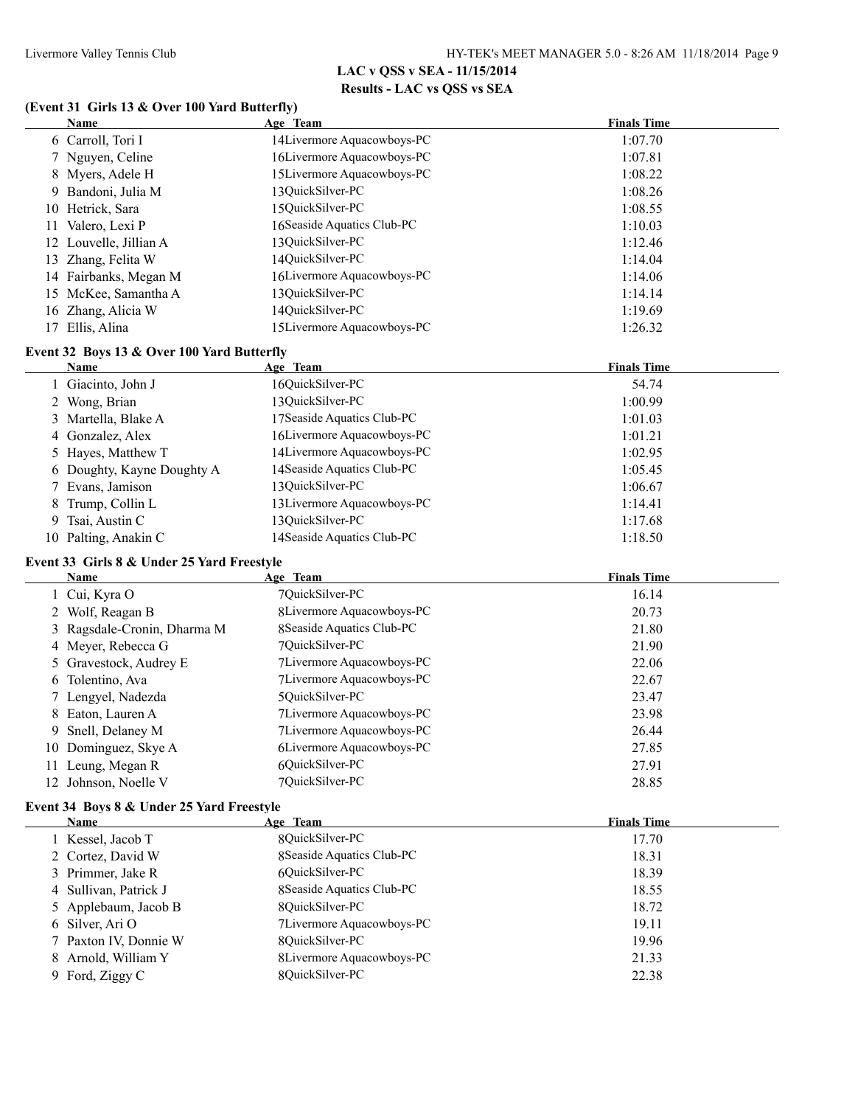#### **(Event 31 Girls 13 & Over 100 Yard Butterfly)**

| <b>Name</b>            | Age Team                    | <b>Finals Time</b> |
|------------------------|-----------------------------|--------------------|
| 6 Carroll, Tori I      | 14 Livermore Aquacowboys-PC | 1:07.70            |
| 7 Nguyen, Celine       | 16Livermore Aquacowboys-PC  | 1:07.81            |
| 8 Myers, Adele H       | 15Livermore Aquacowboys-PC  | 1:08.22            |
| 9 Bandoni, Julia M     | 13OuickSilver-PC            | 1:08.26            |
| 10 Hetrick, Sara       | 15OuickSilver-PC            | 1:08.55            |
| Valero, Lexi P<br>11   | 16 Seaside Aquatics Club-PC | 1:10.03            |
| 12 Louvelle, Jillian A | 130uickSilver-PC            | 1:12.46            |
| 13 Zhang, Felita W     | 14OuickSilver-PC            | 1:14.04            |
| 14 Fairbanks, Megan M  | 16Livermore Aquacowboys-PC  | 1:14.06            |
| 15 McKee, Samantha A   | 13QuickSilver-PC            | 1:14.14            |
| 16 Zhang, Alicia W     | 14OuickSilver-PC            | 1:19.69            |
| Ellis, Alina           | 15 Livermore Aquacowboys-PC | 1:26.32            |
|                        |                             |                    |

#### **Event 32 Boys 13 & Over 100 Yard Butterfly**

| Name                       | Age Team                    | <b>Finals Time</b> |
|----------------------------|-----------------------------|--------------------|
| 1 Giacinto, John J         | 16QuickSilver-PC            | 54.74              |
| 2 Wong, Brian              | 13OuickSilver-PC            | 1:00.99            |
| 3 Martella, Blake A        | 17 Seaside Aquatics Club-PC | 1:01.03            |
| 4 Gonzalez, Alex           | 16Livermore Aquacowboys-PC  | 1:01.21            |
| 5 Hayes, Matthew T         | 14Livermore Aquacowboys-PC  | 1:02.95            |
| 6 Doughty, Kayne Doughty A | 14 Seaside Aquatics Club-PC | 1:05.45            |
| 7 Evans, Jamison           | 13QuickSilver-PC            | 1:06.67            |
| 8 Trump, Collin L          | 13 Livermore Aquacowboys-PC | 1:14.41            |
| 9 Tsai, Austin C           | 13OuickSilver-PC            | 1:17.68            |
| 10 Palting, Anakin C       | 14 Seaside Aquatics Club-PC | 1:18.50            |

### **Event 33 Girls 8 & Under 25 Yard Freestyle**

|    | Name                        | Age Team                   | <b>Finals Time</b> |
|----|-----------------------------|----------------------------|--------------------|
|    | 1 Cui, Kyra O               | 70uickSilver-PC            | 16.14              |
|    | 2 Wolf, Reagan B            | 8Livermore Aquacowboys-PC  | 20.73              |
|    | 3 Ragsdale-Cronin, Dharma M | 8 Seaside Aquatics Club-PC | 21.80              |
|    | 4 Meyer, Rebecca G          | 70uickSilver-PC            | 21.90              |
|    | 5 Gravestock, Audrey E      | 7Livermore Aquacowboys-PC  | 22.06              |
|    | 6 Tolentino, Ava            | 7Livermore Aquacowboys-PC  | 22.67              |
|    | 7 Lengyel, Nadezda          | 50uickSilver-PC            | 23.47              |
|    | 8 Eaton, Lauren A           | 7Livermore Aquacowboys-PC  | 23.98              |
|    | 9 Snell, Delaney M          | 7Livermore Aquacowboys-PC  | 26.44              |
|    | 10 Dominguez, Skye A        | 6Livermore Aquacowboys-PC  | 27.85              |
| 11 | Leung, Megan R              | 6OuickSilver-PC            | 27.91              |
|    | 12 Johnson, Noelle V        | 70uickSilver-PC            | 28.85              |

#### **Event 34 Boys 8 & Under 25 Yard Freestyle**

| Name                  | Age Team                   | <b>Finals Time</b> |
|-----------------------|----------------------------|--------------------|
| 1 Kessel, Jacob T     | 80uickSilver-PC            | 17.70              |
| 2 Cortez, David W     | 8 Seaside Aquatics Club-PC | 18.31              |
| 3 Primmer, Jake R     | 6OuickSilver-PC            | 18.39              |
| 4 Sullivan, Patrick J | 8 Seaside Aquatics Club-PC | 18.55              |
| 5 Applebaum, Jacob B  | 80uickSilver-PC            | 18.72              |
| 6 Silver, Ari O       | 7Livermore Aquacowboys-PC  | 19.11              |
| 7 Paxton IV, Donnie W | 80uickSilver-PC            | 19.96              |
| 8 Arnold, William Y   | 8Livermore Aquacowboys-PC  | 21.33              |
| 9 Ford, Ziggy C       | 8OuickSilver-PC            | 22.38              |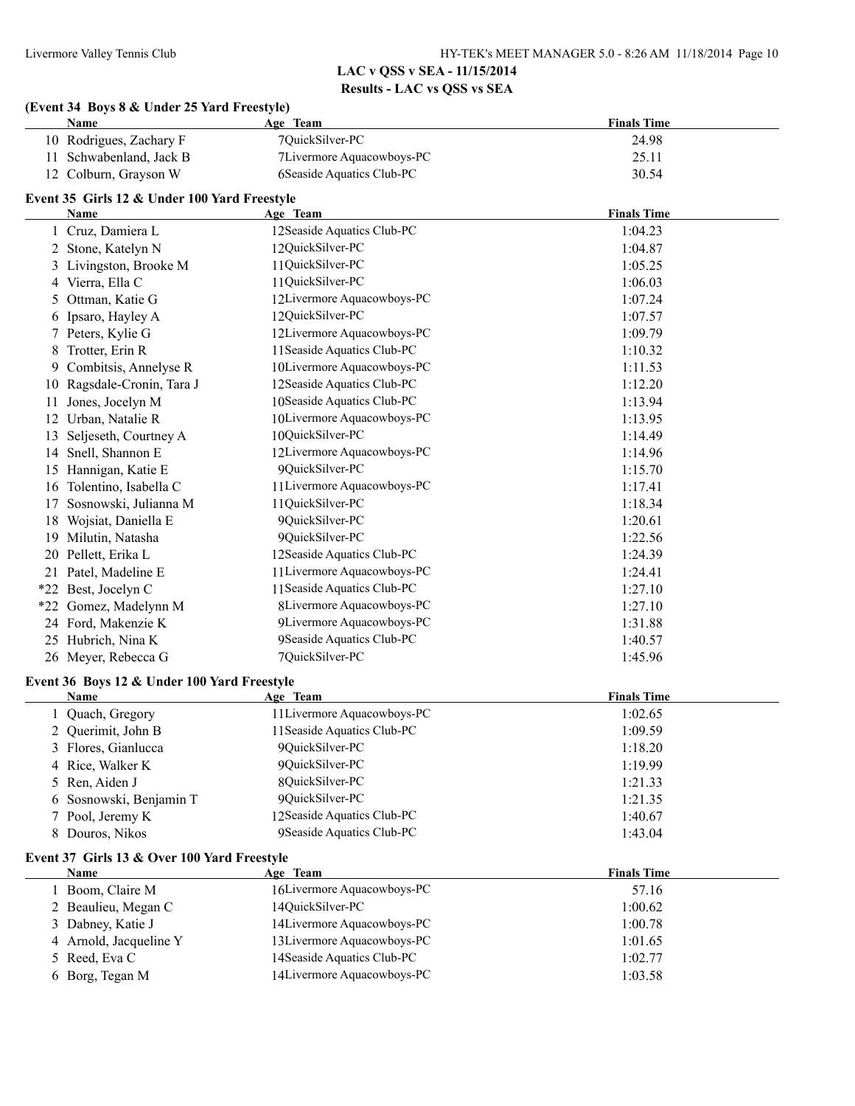### **(Event 34 Boys 8 & Under 25 Yard Freestyle)**

|    | <b>Name</b>                                  | Age Team                    | <b>Finals Time</b> |
|----|----------------------------------------------|-----------------------------|--------------------|
|    | 10 Rodrigues, Zachary F                      | 7QuickSilver-PC             | 24.98              |
| 11 | Schwabenland, Jack B                         | 7Livermore Aquacowboys-PC   | 25.11              |
|    | 12 Colburn, Grayson W                        | 6Seaside Aquatics Club-PC   | 30.54              |
|    | Event 35 Girls 12 & Under 100 Yard Freestyle |                             |                    |
|    | Name                                         | Age Team                    | <b>Finals Time</b> |
|    | 1 Cruz, Damiera L                            | 12Seaside Aquatics Club-PC  | 1:04.23            |
|    | 2 Stone, Katelyn N                           | 12QuickSilver-PC            | 1:04.87            |
|    | 3 Livingston, Brooke M                       | 11QuickSilver-PC            | 1:05.25            |
| 4  | Vierra, Ella C                               | 11QuickSilver-PC            | 1:06.03            |
| 5  | Ottman, Katie G                              | 12Livermore Aquacowboys-PC  | 1:07.24            |
|    | 6 Ipsaro, Hayley A                           | 12QuickSilver-PC            | 1:07.57            |
| 7  | Peters, Kylie G                              | 12Livermore Aquacowboys-PC  | 1:09.79            |
| 8  | Trotter, Erin R                              | 11 Seaside Aquatics Club-PC | 1:10.32            |
|    | 9 Combitsis, Annelyse R                      | 10Livermore Aquacowboys-PC  | 1:11.53            |
|    | 10 Ragsdale-Cronin, Tara J                   | 12Seaside Aquatics Club-PC  | 1:12.20            |
| 11 | Jones, Jocelyn M                             | 10 Seaside Aquatics Club-PC | 1:13.94            |
| 12 | Urban, Natalie R                             | 10Livermore Aquacowboys-PC  | 1:13.95            |
|    | 13 Seljeseth, Courtney A                     | 10QuickSilver-PC            | 1:14.49            |
|    | 14 Snell, Shannon E                          | 12Livermore Aquacowboys-PC  | 1:14.96            |
|    | 15 Hannigan, Katie E                         | 9QuickSilver-PC             | 1:15.70            |
|    | 16 Tolentino, Isabella C                     | 11 Livermore Aquacowboys-PC | 1:17.41            |
| 17 | Sosnowski, Julianna M                        | 11QuickSilver-PC            | 1:18.34            |
| 18 | Wojsiat, Daniella E                          | 9QuickSilver-PC             | 1:20.61            |
| 19 | Milutin, Natasha                             | 9QuickSilver-PC             | 1:22.56            |
| 20 | Pellett, Erika L                             | 12Seaside Aquatics Club-PC  | 1:24.39            |
|    | 21 Patel, Madeline E                         | 11 Livermore Aquacowboys-PC | 1:24.41            |
|    | *22 Best, Jocelyn C                          | 11 Seaside Aquatics Club-PC | 1:27.10            |
|    | *22 Gomez, Madelynn M                        | 8Livermore Aquacowboys-PC   | 1:27.10            |
|    | 24 Ford, Makenzie K                          | 9Livermore Aquacowboys-PC   | 1:31.88            |
|    | 25 Hubrich, Nina K                           | 9Seaside Aquatics Club-PC   | 1:40.57            |
|    | 26 Meyer, Rebecca G                          | 7QuickSilver-PC             | 1:45.96            |
|    | Event 36 Boys 12 & Under 100 Yard Freestyle  |                             |                    |
|    | Name                                         | Age Team                    | <b>Finals Time</b> |
|    | 1 Quach, Gregory                             | 11 Livermore Aquacowboys-PC | 1:02.65            |
|    | 2 Querimit, John B                           | 11 Seaside Aquatics Club-PC | 1:09.59            |
| 3  | Flores, Gianlucca                            | 9QuickSilver-PC             | 1:18.20            |
| 4  | Rice, Walker K                               | 9QuickSilver-PC             | 1:19.99            |
| 5  | Ren, Aiden J                                 | 8QuickSilver-PC             | 1:21.33            |
| 6  | Sosnowski, Benjamin T                        | 9QuickSilver-PC             | 1:21.35            |
| 7  | Pool, Jeremy K                               | 12Seaside Aquatics Club-PC  | 1:40.67            |
| 8  | Douros, Nikos                                | 9Seaside Aquatics Club-PC   | 1:43.04            |
|    | Event 37 Girls 13 & Over 100 Yard Freestyle  |                             |                    |
|    | Name                                         | Age Team                    | <b>Finals Time</b> |
|    | 1 Boom, Claire M                             | 16Livermore Aquacowboys-PC  | 57.16              |
|    | 2 Beaulieu, Megan C                          | 14QuickSilver-PC            | 1:00.62            |
|    | 3 Dabney, Katie J                            | 14Livermore Aquacowboys-PC  | 1:00.78            |
| 4  | Arnold, Jacqueline Y                         | 13Livermore Aquacowboys-PC  | 1:01.65            |
| 5  | Reed, Eva C                                  | 14 Seaside Aquatics Club-PC | 1:02.77            |
|    | 6 Borg, Tegan M                              | 14Livermore Aquacowboys-PC  | 1:03.58            |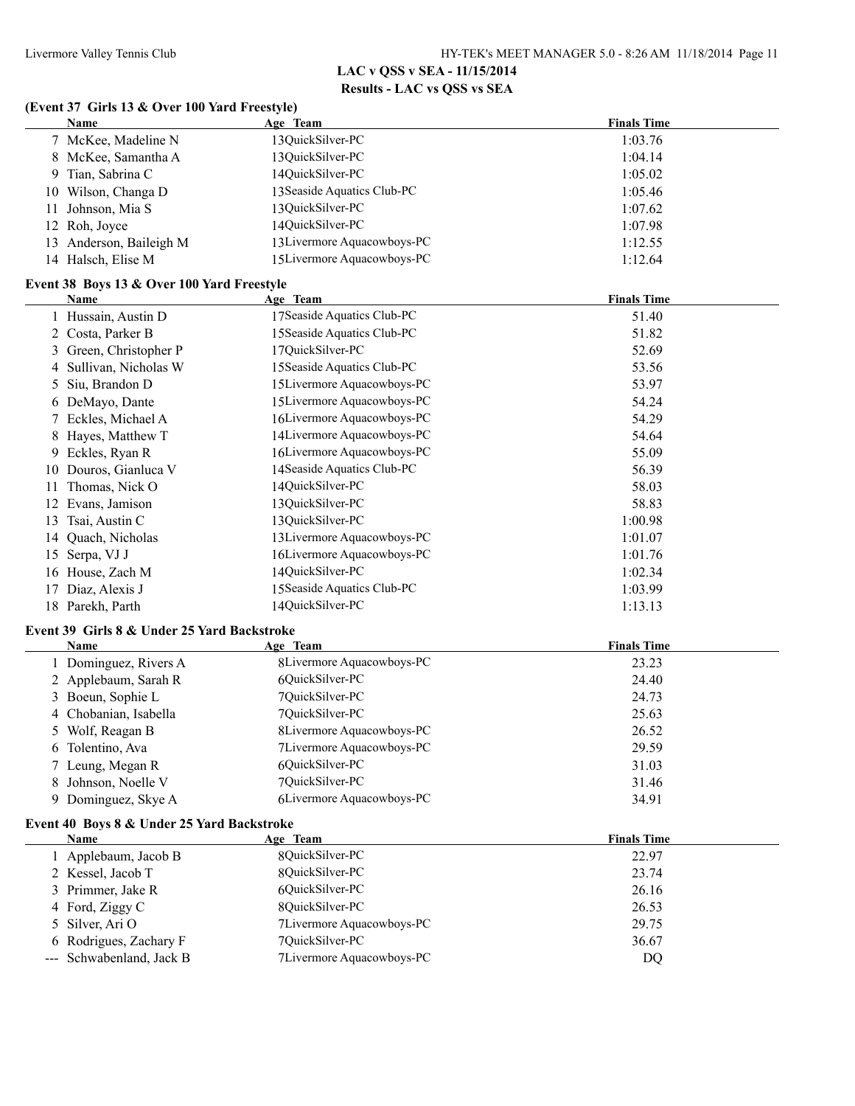#### **(Event 37 Girls 13 & Over 100 Yard Freestyle)**

|    | <b>Name</b>             | Age Team                    | <b>Finals Time</b> |
|----|-------------------------|-----------------------------|--------------------|
|    | 7 McKee, Madeline N     | 13QuickSilver-PC            | 1:03.76            |
|    | 8 McKee, Samantha A     | 13QuickSilver-PC            | 1:04.14            |
|    | 9 Tian, Sabrina C       | 14OuickSilver-PC            | 1:05.02            |
|    | 10 Wilson, Changa D     | 13 Seaside Aquatics Club-PC | 1:05.46            |
|    | 11 Johnson, Mia S       | 13QuickSilver-PC            | 1:07.62            |
|    | 12 Roh, Joyce           | 14OuickSilver-PC            | 1:07.98            |
|    | 13 Anderson, Baileigh M | 13 Livermore Aquacowboys-PC | 1:12.55            |
| 14 | Halsch, Elise M         | 15Livermore Aquacowboys-PC  | 1:12.64            |

#### **Event 38 Boys 13 & Over 100 Yard Freestyle**

|    | Name                   | Age Team                    | <b>Finals Time</b> |
|----|------------------------|-----------------------------|--------------------|
|    | Hussain, Austin D      | 17 Seaside Aquatics Club-PC | 51.40              |
|    | 2 Costa, Parker B      | 15 Seaside Aquatics Club-PC | 51.82              |
|    | 3 Green, Christopher P | 17QuickSilver-PC            | 52.69              |
|    | 4 Sullivan, Nicholas W | 15 Seaside Aquatics Club-PC | 53.56              |
|    | 5 Siu, Brandon D       | 15Livermore Aquacowboys-PC  | 53.97              |
|    | 6 DeMayo, Dante        | 15Livermore Aquacowboys-PC  | 54.24              |
|    | 7 Eckles, Michael A    | 16Livermore Aquacowboys-PC  | 54.29              |
|    | Hayes, Matthew T       | 14Livermore Aquacowboys-PC  | 54.64              |
| 9. | Eckles, Ryan R         | 16Livermore Aquacowboys-PC  | 55.09              |
| 10 | Douros, Gianluca V     | 14 Seaside Aquatics Club-PC | 56.39              |
| 11 | Thomas, Nick O         | 14QuickSilver-PC            | 58.03              |
|    | Evans, Jamison         | 13QuickSilver-PC            | 58.83              |
| 13 | Tsai, Austin C         | 13QuickSilver-PC            | 1:00.98            |
| 14 | Quach, Nicholas        | 13Livermore Aquacowboys-PC  | 1:01.07            |
| 15 | Serpa, VJ J            | 16Livermore Aquacowboys-PC  | 1:01.76            |
| 16 | House, Zach M          | 14QuickSilver-PC            | 1:02.34            |
|    | Diaz, Alexis J         | 15 Seaside Aquatics Club-PC | 1:03.99            |
| 18 | Parekh, Parth          | 14QuickSilver-PC            | 1:13.13            |

### **Event 39 Girls 8 & Under 25 Yard Backstroke**

| <b>Name</b>           | Age Team                  | <b>Finals Time</b> |
|-----------------------|---------------------------|--------------------|
| 1 Dominguez, Rivers A | 8Livermore Aquacowboys-PC | 23.23              |
| 2 Applebaum, Sarah R  | 6QuickSilver-PC           | 24.40              |
| 3 Boeun, Sophie L     | 70uickSilver-PC           | 24.73              |
| 4 Chobanian, Isabella | 7QuickSilver-PC           | 25.63              |
| 5 Wolf, Reagan B      | 8Livermore Aquacowboys-PC | 26.52              |
| 6 Tolentino, Ava      | 7Livermore Aquacowboys-PC | 29.59              |
| 7 Leung, Megan R      | 60uickSilver-PC           | 31.03              |
| 8 Johnson, Noelle V   | 70uickSilver-PC           | 31.46              |
| 9 Dominguez, Skye A   | 6Livermore Aquacowboys-PC | 34.91              |
|                       |                           |                    |

#### **Event 40 Boys 8 & Under 25 Yard Backstroke**

| <b>Name</b>              | Age Team                  | <b>Finals Time</b> |
|--------------------------|---------------------------|--------------------|
| 1 Applebaum, Jacob B     | 80uickSilver-PC           | 22.97              |
| 2 Kessel, Jacob T        | 8QuickSilver-PC           | 23.74              |
| 3 Primmer, Jake R        | 6OuickSilver-PC           | 26.16              |
| 4 Ford, Ziggy C          | 80uickSilver-PC           | 26.53              |
| 5 Silver, Ari O          | 7Livermore Aquacowboys-PC | 29.75              |
| 6 Rodrigues, Zachary F   | 7QuickSilver-PC           | 36.67              |
| --- Schwabenland, Jack B | 7Livermore Aquacowboys-PC | DQ                 |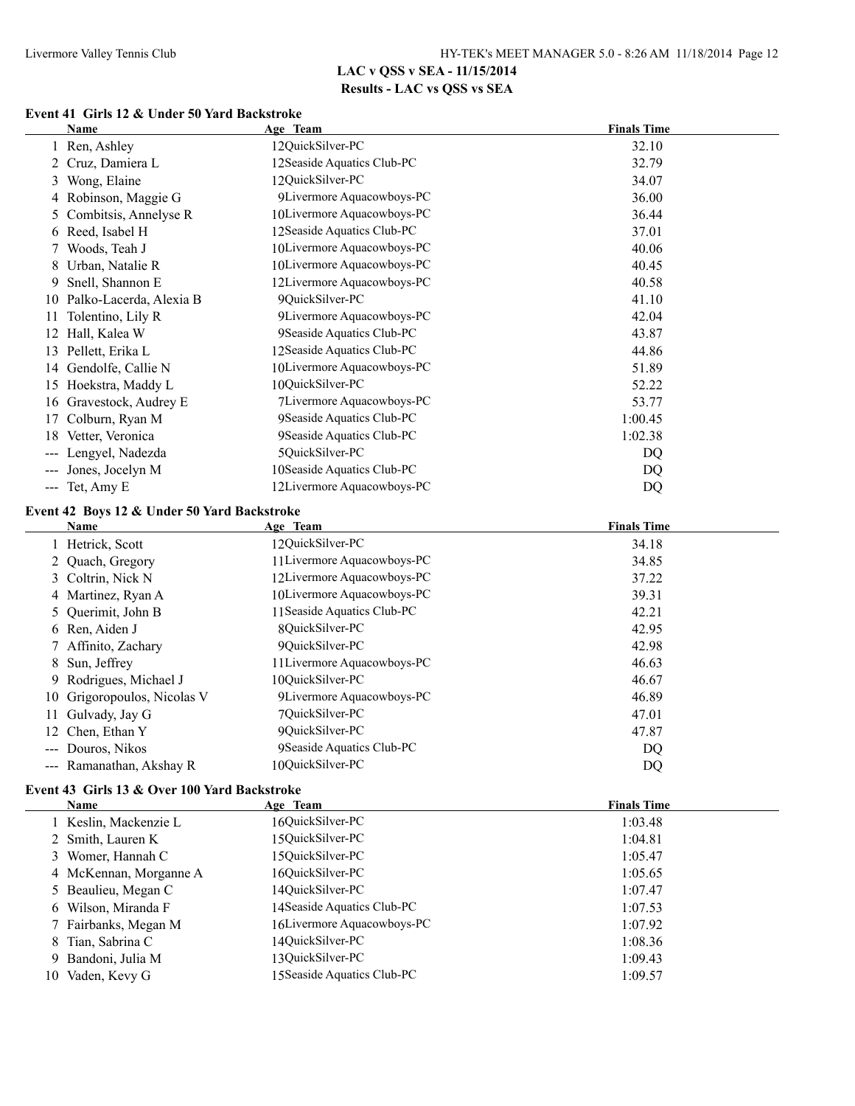## **Event 41 Girls 12 & Under 50 Yard Backstroke**

|    | <b>Name</b>                                                                             | Age Team                    | <b>Finals Time</b> |
|----|-----------------------------------------------------------------------------------------|-----------------------------|--------------------|
|    | 1 Ren, Ashley                                                                           | 12QuickSilver-PC            | 32.10              |
|    | 2 Cruz, Damiera L                                                                       | 12Seaside Aquatics Club-PC  | 32.79              |
|    | 3 Wong, Elaine                                                                          | 12QuickSilver-PC            | 34.07              |
|    | 4 Robinson, Maggie G                                                                    | 9Livermore Aquacowboys-PC   | 36.00              |
|    | 5 Combitsis, Annelyse R                                                                 | 10Livermore Aquacowboys-PC  | 36.44              |
|    | 6 Reed, Isabel H                                                                        | 12Seaside Aquatics Club-PC  | 37.01              |
|    | 7 Woods, Teah J                                                                         | 10Livermore Aquacowboys-PC  | 40.06              |
|    | 8 Urban, Natalie R                                                                      | 10Livermore Aquacowboys-PC  | 40.45              |
| 9  | Snell, Shannon E                                                                        | 12Livermore Aquacowboys-PC  | 40.58              |
|    | 10 Palko-Lacerda, Alexia B                                                              | 9QuickSilver-PC             | 41.10              |
| 11 | Tolentino, Lily R                                                                       | 9Livermore Aquacowboys-PC   | 42.04              |
|    | 12 Hall, Kalea W                                                                        | 9Seaside Aquatics Club-PC   | 43.87              |
|    | 13 Pellett, Erika L                                                                     | 12Seaside Aquatics Club-PC  | 44.86              |
|    | 14 Gendolfe, Callie N                                                                   | 10Livermore Aquacowboys-PC  | 51.89              |
|    | 15 Hoekstra, Maddy L                                                                    | 10QuickSilver-PC            | 52.22              |
|    | 16 Gravestock, Audrey E                                                                 | 7Livermore Aquacowboys-PC   | 53.77              |
|    | 17 Colburn, Ryan M                                                                      | 9Seaside Aquatics Club-PC   | 1:00.45            |
|    | 18 Vetter, Veronica                                                                     | 9Seaside Aquatics Club-PC   | 1:02.38            |
|    | --- Lengyel, Nadezda                                                                    | 5QuickSilver-PC             | DQ                 |
|    | --- Jones, Jocelyn M                                                                    | 10Seaside Aquatics Club-PC  | <b>DQ</b>          |
|    | $--$ Tet, Amy E                                                                         | 12Livermore Aquacowboys-PC  | <b>DQ</b>          |
|    | Event 42 Boys 12 & Under 50 Yard Backstroke                                             |                             |                    |
|    | Name                                                                                    | Age Team                    | <b>Finals Time</b> |
|    | 1 Hetrick, Scott                                                                        | 12QuickSilver-PC            | 34.18              |
|    | 2 Quach, Gregory                                                                        | 11 Livermore Aquacowboys-PC | 34.85              |
|    | 3 Coltrin, Nick N                                                                       | 12Livermore Aquacowboys-PC  | 37.22              |
|    | 4 Martinez, Ryan A                                                                      | 10Livermore Aquacowboys-PC  | 39.31              |
| 5  | Querimit, John B                                                                        | 11 Seaside Aquatics Club-PC | 42.21              |
|    | 6 Ren, Aiden J                                                                          | 8QuickSilver-PC             | 42.95              |
|    | 7 Affinito, Zachary                                                                     | 9QuickSilver-PC             | 42.98              |
|    | 8 Sun, Jeffrey                                                                          | 11 Livermore Aquacowboys-PC | 46.63              |
|    | 9 Rodrigues, Michael J                                                                  | 10QuickSilver-PC            | 46.67              |
|    | 10 Grigoropoulos, Nicolas V                                                             | 9Livermore Aquacowboys-PC   | 46.89              |
|    | 11 Gulvady, Jay G                                                                       | 7QuickSilver-PC             | 47.01              |
|    | 12 Chen, Ethan Y                                                                        | 9QuickSilver-PC             | 47.87              |
|    | --- Douros, Nikos                                                                       | 9Seaside Aquatics Club-PC   | DQ                 |
|    | --- Ramanathan, Akshay R                                                                | 10QuickSilver-PC            | <b>DQ</b>          |
|    | Event 43 Girls 13 & Over 100 Yard Backstroke                                            |                             |                    |
|    | Name                                                                                    | Age Team                    | <b>Finals Time</b> |
|    | $1 - \mathbf{17}$ and $1! = \mathbf{3}$ and $1! = \mathbf{1}$ . The set of $\mathbf{1}$ | 17010100                    | 1.02.40            |

| таніс                  | лес теаш                    | тинаю типе |
|------------------------|-----------------------------|------------|
| 1 Keslin, Mackenzie L  | 16QuickSilver-PC            | 1:03.48    |
| 2 Smith, Lauren K      | 15QuickSilver-PC            | 1:04.81    |
| 3 Womer, Hannah C      | 150uickSilver-PC            | 1:05.47    |
| 4 McKennan, Morganne A | 16OuickSilver-PC            | 1:05.65    |
| 5 Beaulieu, Megan C    | 14OuickSilver-PC            | 1:07.47    |
| 6 Wilson, Miranda F    | 14 Seaside Aquatics Club-PC | 1:07.53    |
| 7 Fairbanks, Megan M   | 16Livermore Aquacowboys-PC  | 1:07.92    |
| 8 Tian, Sabrina C      | 14OuickSilver-PC            | 1:08.36    |
| 9 Bandoni, Julia M     | 13OuickSilver-PC            | 1:09.43    |
| 10 Vaden, Kevy G       | 15 Seaside Aquatics Club-PC | 1:09.57    |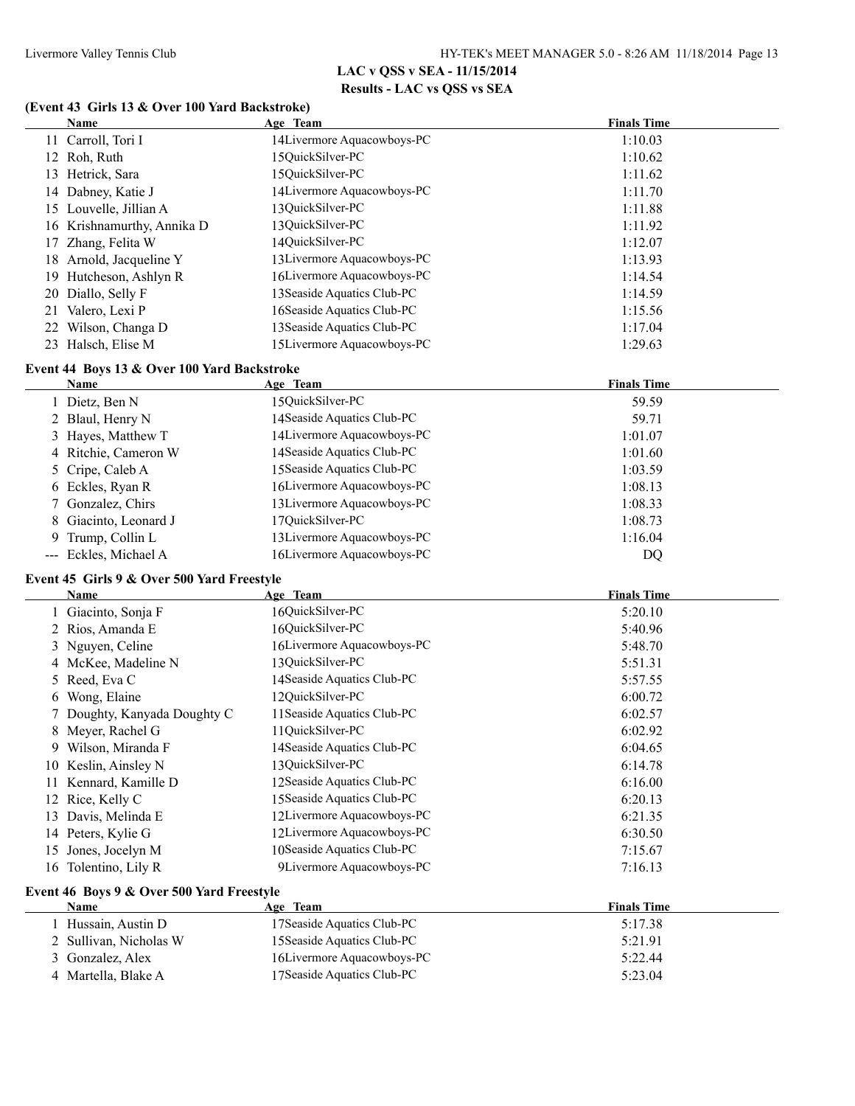#### **(Event 43 Girls 13 & Over 100 Yard Backstroke)**

|    | Name                                                       | Age Team                               | <b>Finals Time</b> |
|----|------------------------------------------------------------|----------------------------------------|--------------------|
|    | 11 Carroll, Tori I                                         | 14Livermore Aquacowboys-PC             | 1:10.03            |
|    | 12 Roh, Ruth                                               | 15QuickSilver-PC                       | 1:10.62            |
|    | 13 Hetrick, Sara                                           | 15QuickSilver-PC                       | 1:11.62            |
|    | 14 Dabney, Katie J                                         | 14Livermore Aquacowboys-PC             | 1:11.70            |
|    | 15 Louvelle, Jillian A                                     | 13QuickSilver-PC                       | 1:11.88            |
|    | 16 Krishnamurthy, Annika D                                 | 13QuickSilver-PC                       | 1:11.92            |
| 17 | Zhang, Felita W                                            | 14QuickSilver-PC                       | 1:12.07            |
|    | 18 Arnold, Jacqueline Y                                    | 13Livermore Aquacowboys-PC             | 1:13.93            |
| 19 | Hutcheson, Ashlyn R                                        | 16Livermore Aquacowboys-PC             | 1:14.54            |
| 20 | Diallo, Selly F                                            | 13 Seaside Aquatics Club-PC            | 1:14.59            |
|    | 21 Valero, Lexi P                                          | 16Seaside Aquatics Club-PC             | 1:15.56            |
|    | 22 Wilson, Changa D                                        | 13 Seaside Aquatics Club-PC            | 1:17.04            |
|    | 23 Halsch, Elise M                                         | 15Livermore Aquacowboys-PC             | 1:29.63            |
|    |                                                            |                                        |                    |
|    | Event 44 Boys 13 & Over 100 Yard Backstroke<br><b>Name</b> | Age Team                               | <b>Finals Time</b> |
|    | 1 Dietz, Ben N                                             | 15QuickSilver-PC                       | 59.59              |
|    | 2 Blaul, Henry N                                           | 14 Seaside Aquatics Club-PC            | 59.71              |
| 3  | Hayes, Matthew T                                           | 14Livermore Aquacowboys-PC             | 1:01.07            |
|    | 4 Ritchie, Cameron W                                       | 14 Seaside Aquatics Club-PC            | 1:01.60            |
| 5. | Cripe, Caleb A                                             | 15 Seaside Aquatics Club-PC            | 1:03.59            |
| 6  | Eckles, Ryan R                                             | 16Livermore Aquacowboys-PC             | 1:08.13            |
| 7  | Gonzalez, Chirs                                            | 13Livermore Aquacowboys-PC             | 1:08.33            |
| 8  | Giacinto, Leonard J                                        | 17QuickSilver-PC                       | 1:08.73            |
| 9  | Trump, Collin L                                            | 13Livermore Aquacowboys-PC             | 1:16.04            |
|    | --- Eckles, Michael A                                      | 16Livermore Aquacowboys-PC             | DQ                 |
|    |                                                            |                                        |                    |
|    | Event 45 Girls 9 & Over 500 Yard Freestyle<br>Name         |                                        | <b>Finals Time</b> |
|    | 1 Giacinto, Sonja F                                        | Age Team<br>16QuickSilver-PC           | 5:20.10            |
|    | 2 Rios, Amanda E                                           | 16QuickSilver-PC                       | 5:40.96            |
|    | 3 Nguyen, Celine                                           | 16Livermore Aquacowboys-PC             | 5:48.70            |
|    | 4 McKee, Madeline N                                        | 13QuickSilver-PC                       | 5:51.31            |
| 5  | Reed, Eva C                                                | 14 Seaside Aquatics Club-PC            | 5:57.55            |
|    | Wong, Elaine                                               | 12QuickSilver-PC                       | 6:00.72            |
| 6  | Doughty, Kanyada Doughty C                                 | 11 Seaside Aquatics Club-PC            | 6:02.57            |
| 8  | Meyer, Rachel G                                            | 11QuickSilver-PC                       | 6:02.92            |
|    | 9 Wilson, Miranda F                                        | 14 Seaside Aquatics Club-PC            | 6:04.65            |
|    | 10 Keslin, Ainsley N                                       | 13QuickSilver-PC                       | 6:14.78            |
|    | 11 Kennard, Kamille D                                      | 12Seaside Aquatics Club-PC             | 6:16.00            |
|    | 12 Rice, Kelly C                                           | 15 Seaside Aquatics Club-PC            | 6:20.13            |
| 13 | Davis, Melinda E                                           | 12Livermore Aquacowboys-PC             | 6:21.35            |
|    | 14 Peters, Kylie G                                         | 12Livermore Aquacowboys-PC             | 6:30.50            |
| 15 | Jones, Jocelyn M                                           | 10Seaside Aquatics Club-PC             | 7:15.67            |
|    | 16 Tolentino, Lily R                                       | 9Livermore Aquacowboys-PC              | 7:16.13            |
|    |                                                            |                                        |                    |
|    | Event 46 Boys 9 & Over 500 Yard Freestyle                  |                                        |                    |
|    | <b>Name</b>                                                | Age Team<br>17Seaside Aquatics Club-PC | <b>Finals Time</b> |
|    | 1 Hussain, Austin D                                        | 15 Seaside Aquatics Club-PC            | 5:17.38            |
|    | 2 Sullivan, Nicholas W                                     | 16Livermore Aquacowboys-PC             | 5:21.91            |
|    | 3 Gonzalez, Alex<br>4 Martella, Blake A                    | 17Seaside Aquatics Club-PC             | 5:22.44<br>5:23.04 |
|    |                                                            |                                        |                    |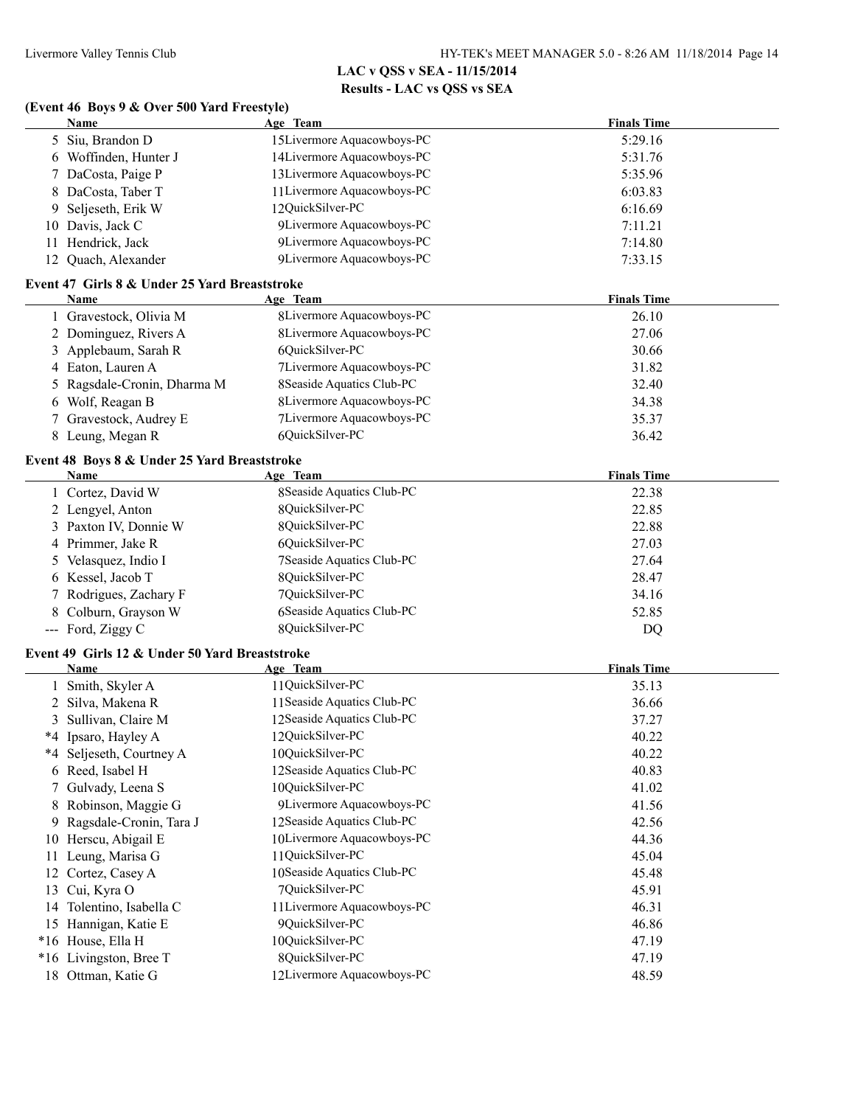### **(Event 46 Boys 9 & Over 500 Yard Freestyle)**

|    | $P_{\text{V}}(n)$ to $P_{\text{V}}(n)$ and $P_{\text{V}}(n)$ and $P_{\text{V}}(n)$<br>Name | Age Team                    | <b>Finals Time</b> |
|----|--------------------------------------------------------------------------------------------|-----------------------------|--------------------|
|    | 5 Siu, Brandon D                                                                           | 15Livermore Aquacowboys-PC  | 5:29.16            |
|    | 6 Woffinden, Hunter J                                                                      | 14Livermore Aquacowboys-PC  | 5:31.76            |
| 7  | DaCosta, Paige P                                                                           | 13Livermore Aquacowboys-PC  | 5:35.96            |
| 8  | DaCosta, Taber T                                                                           | 11 Livermore Aquacowboys-PC | 6:03.83            |
| 9  | Seljeseth, Erik W                                                                          | 12QuickSilver-PC            | 6:16.69            |
|    | 10 Davis, Jack C                                                                           | 9Livermore Aquacowboys-PC   | 7:11.21            |
|    | 11 Hendrick, Jack                                                                          | 9Livermore Aquacowboys-PC   | 7:14.80            |
|    | 12 Quach, Alexander                                                                        | 9Livermore Aquacowboys-PC   | 7:33.15            |
|    |                                                                                            |                             |                    |
|    | Event 47 Girls 8 & Under 25 Yard Breaststroke<br>Name                                      | Age Team                    | <b>Finals Time</b> |
|    | 1 Gravestock, Olivia M                                                                     | 8Livermore Aquacowboys-PC   | 26.10              |
|    | 2 Dominguez, Rivers A                                                                      | 8Livermore Aquacowboys-PC   | 27.06              |
| 3  | Applebaum, Sarah R                                                                         | 6QuickSilver-PC             | 30.66              |
| 4  | Eaton, Lauren A                                                                            | 7Livermore Aquacowboys-PC   | 31.82              |
| 5. | Ragsdale-Cronin, Dharma M                                                                  | 8Seaside Aquatics Club-PC   | 32.40              |
|    | 6 Wolf, Reagan B                                                                           | 8Livermore Aquacowboys-PC   | 34.38              |
|    | Gravestock, Audrey E                                                                       | 7Livermore Aquacowboys-PC   | 35.37              |
| 7. |                                                                                            | 6QuickSilver-PC             | 36.42              |
|    | 8 Leung, Megan R                                                                           |                             |                    |
|    | Event 48 Boys 8 & Under 25 Yard Breaststroke                                               |                             |                    |
|    | <b>Name</b>                                                                                | Age Team                    | <b>Finals Time</b> |
|    | 1 Cortez, David W                                                                          | 8Seaside Aquatics Club-PC   | 22.38              |
|    | 2 Lengyel, Anton                                                                           | 8QuickSilver-PC             | 22.85              |
|    | 3 Paxton IV, Donnie W                                                                      | 8QuickSilver-PC             | 22.88              |
|    | 4 Primmer, Jake R                                                                          | 6QuickSilver-PC             | 27.03              |
| 5  | Velasquez, Indio I                                                                         | 7Seaside Aquatics Club-PC   | 27.64              |
|    | 6 Kessel, Jacob T                                                                          | 8QuickSilver-PC             | 28.47              |
| 7  | Rodrigues, Zachary F                                                                       | 7QuickSilver-PC             | 34.16              |
|    | 8 Colburn, Grayson W                                                                       | 6Seaside Aquatics Club-PC   | 52.85              |
|    | --- Ford, Ziggy C                                                                          | 8QuickSilver-PC             | DQ                 |
|    | Event 49 Girls 12 & Under 50 Yard Breaststroke                                             |                             |                    |
|    | <b>Name</b>                                                                                | Age Team                    | <b>Finals Time</b> |
|    | 1 Smith, Skyler A                                                                          | 11QuickSilver-PC            | 35.13              |
|    | 2 Silva, Makena R                                                                          | 11 Seaside Aquatics Club-PC | 36.66              |
|    | 3 Sullivan, Claire M                                                                       | 12Seaside Aquatics Club-PC  | 37.27              |
|    | *4 Ipsaro, Hayley A                                                                        | 12QuickSilver-PC            | 40.22              |
|    | *4 Seljeseth, Courtney A                                                                   | 10QuickSilver-PC            | 40.22              |
|    | 6 Reed, Isabel H                                                                           | 12Seaside Aquatics Club-PC  | 40.83              |
|    | 7 Gulvady, Leena S                                                                         | 10QuickSilver-PC            | 41.02              |
| 8  | Robinson, Maggie G                                                                         | 9Livermore Aquacowboys-PC   | 41.56              |
| 9  | Ragsdale-Cronin, Tara J                                                                    | 12Seaside Aquatics Club-PC  | 42.56              |
|    | 10 Herscu, Abigail E                                                                       | 10Livermore Aquacowboys-PC  | 44.36              |
| 11 | Leung, Marisa G                                                                            | 11QuickSilver-PC            | 45.04              |
|    | 12 Cortez, Casey A                                                                         | 10Seaside Aquatics Club-PC  | 45.48              |
| 13 | Cui, Kyra O                                                                                | 7QuickSilver-PC             | 45.91              |
|    | 14 Tolentino, Isabella C                                                                   | 11 Livermore Aquacowboys-PC | 46.31              |
|    | 15 Hannigan, Katie E                                                                       | 9QuickSilver-PC             | 46.86              |
|    | *16 House, Ella H                                                                          | 10QuickSilver-PC            | 47.19              |
|    | *16 Livingston, Bree T                                                                     | 8QuickSilver-PC             | 47.19              |
|    | 18 Ottman, Katie G                                                                         | 12Livermore Aquacowboys-PC  | 48.59              |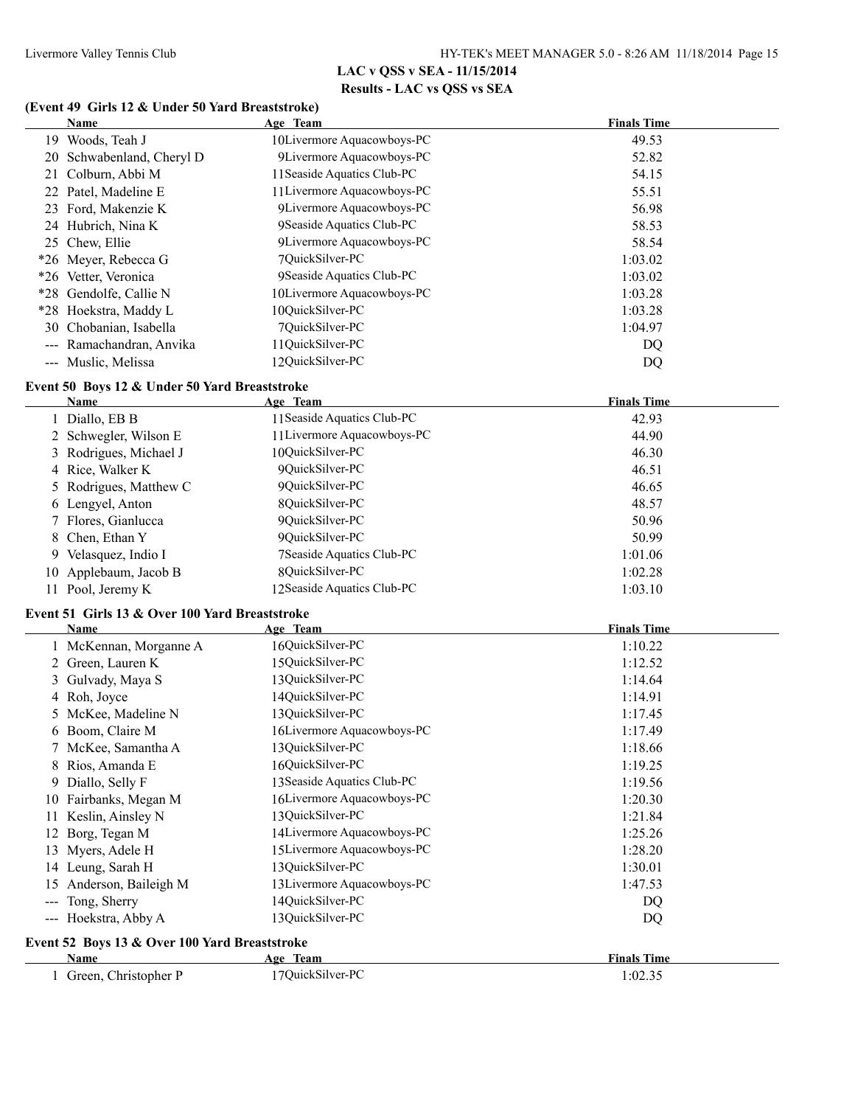#### **(Event 49 Girls 12 & Under 50 Yard Breaststroke)**

|            | Name                                                  | Age Team                           | <b>Finals Time</b> |
|------------|-------------------------------------------------------|------------------------------------|--------------------|
|            | 19 Woods, Teah J                                      | 10Livermore Aquacowboys-PC         | 49.53              |
|            | 20 Schwabenland, Cheryl D                             | 9Livermore Aquacowboys-PC          | 52.82              |
|            | 21 Colburn, Abbi M                                    | 11 Seaside Aquatics Club-PC        | 54.15              |
|            | 22 Patel, Madeline E                                  | 11 Livermore Aquacowboys-PC        | 55.51              |
|            | 23 Ford, Makenzie K                                   | 9Livermore Aquacowboys-PC          | 56.98              |
|            | 24 Hubrich, Nina K                                    | 9Seaside Aquatics Club-PC          | 58.53              |
|            | 25 Chew, Ellie                                        | 9Livermore Aquacowboys-PC          | 58.54              |
|            | *26 Meyer, Rebecca G                                  | 7QuickSilver-PC                    | 1:03.02            |
|            | *26 Vetter, Veronica                                  | 9Seaside Aquatics Club-PC          | 1:03.02            |
|            | *28 Gendolfe, Callie N                                | 10Livermore Aquacowboys-PC         | 1:03.28            |
|            | *28 Hoekstra, Maddy L                                 | 10QuickSilver-PC                   | 1:03.28            |
|            | 30 Chobanian, Isabella                                | 7QuickSilver-PC                    | 1:04.97            |
|            | --- Ramachandran, Anvika                              | 11QuickSilver-PC                   | DQ                 |
|            | --- Muslic, Melissa                                   | 12QuickSilver-PC                   | DQ                 |
|            |                                                       |                                    |                    |
|            | Event 50 Boys 12 & Under 50 Yard Breaststroke<br>Name | Age Team                           | <b>Finals Time</b> |
|            | 1 Diallo, EB B                                        | 11 Seaside Aquatics Club-PC        | 42.93              |
|            |                                                       | 11 Livermore Aquacowboys-PC        | 44.90              |
|            | 2 Schwegler, Wilson E<br>Rodrigues, Michael J         | 10QuickSilver-PC                   | 46.30              |
| 3          |                                                       | 9QuickSilver-PC                    | 46.51              |
| 4          | Rice, Walker K                                        |                                    |                    |
| 5          | Rodrigues, Matthew C                                  | 9QuickSilver-PC<br>8QuickSilver-PC | 46.65              |
| 6          | Lengyel, Anton                                        | 9QuickSilver-PC                    | 48.57              |
|            | Flores, Gianlucca                                     |                                    | 50.96              |
| 8          | Chen, Ethan Y                                         | 9QuickSilver-PC                    | 50.99              |
| 9.         | Velasquez, Indio I                                    | 7Seaside Aquatics Club-PC          | 1:01.06            |
|            | 10 Applebaum, Jacob B                                 | 8QuickSilver-PC                    | 1:02.28            |
|            | 11 Pool, Jeremy K                                     | 12Seaside Aquatics Club-PC         | 1:03.10            |
|            | Event 51 Girls 13 & Over 100 Yard Breaststroke        |                                    |                    |
|            | Name                                                  | Age Team                           | <b>Finals Time</b> |
|            | 1 McKennan, Morganne A                                | 16QuickSilver-PC                   | 1:10.22            |
|            | 2 Green, Lauren K                                     | 15QuickSilver-PC                   | 1:12.52            |
| 3          | Gulvady, Maya S                                       | 13QuickSilver-PC                   | 1:14.64            |
|            | 4 Roh, Joyce                                          | 14QuickSilver-PC                   | 1:14.91            |
| 5.         | McKee, Madeline N                                     | 13QuickSilver-PC                   | 1:17.45            |
|            | 6 Boom, Claire M                                      | 16Livermore Aquacowboys-PC         | 1:17.49            |
|            | 7 McKee, Samantha A                                   | 13QuickSilver-PC                   | 1:18.66            |
|            | 8 Rios, Amanda E                                      | 16QuickSilver-PC                   | 1:19.25            |
|            | 9 Diallo, Selly F                                     | 13 Seaside Aquatics Club-PC        | 1:19.56            |
|            | 10 Fairbanks, Megan M                                 | 16Livermore Aquacowboys-PC         | 1:20.30            |
| 11         | Keslin, Ainsley N                                     | 13QuickSilver-PC                   | 1:21.84            |
| 12         | Borg, Tegan M                                         | 14Livermore Aquacowboys-PC         | 1:25.26            |
| 13         | Myers, Adele H                                        | 15Livermore Aquacowboys-PC         | 1:28.20            |
|            | 14 Leung, Sarah H                                     | 13QuickSilver-PC                   | 1:30.01            |
| 15         | Anderson, Baileigh M                                  | 13Livermore Aquacowboys-PC         | 1:47.53            |
| $-\!-\!$ – | Tong, Sherry                                          | 14QuickSilver-PC                   | DQ                 |
|            | --- Hoekstra, Abby A                                  | 13QuickSilver-PC                   | DQ                 |
|            | Event 52 Boys 13 & Over 100 Yard Breaststroke         |                                    |                    |
|            | Name                                                  | Age Team                           | <b>Finals Time</b> |
|            | 1 Green, Christopher P                                | 17QuickSilver-PC                   | 1:02.35            |
|            |                                                       |                                    |                    |